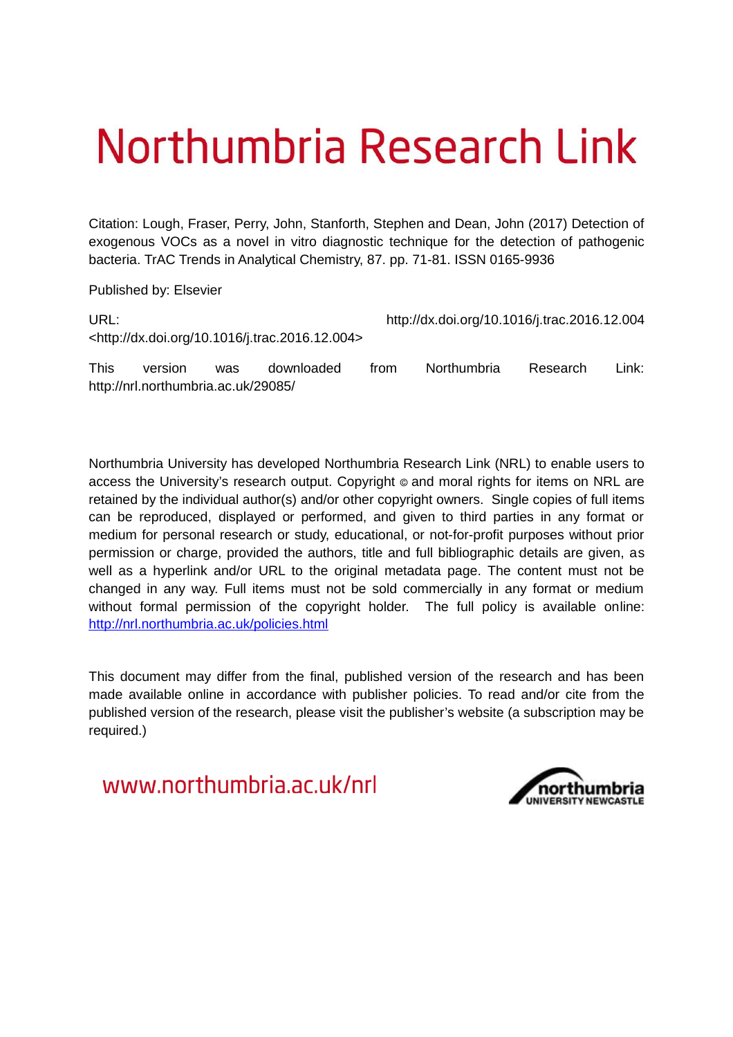# Northumbria Research Link

Citation: Lough, Fraser, Perry, John, Stanforth, Stephen and Dean, John (2017) Detection of exogenous VOCs as a novel in vitro diagnostic technique for the detection of pathogenic bacteria. TrAC Trends in Analytical Chemistry, 87. pp. 71-81. ISSN 0165-9936

Published by: Elsevier

| URL:        |                                                                |            |            |      | http://dx.doi.org/10.1016/j.trac.2016.12.004 |          |       |  |  |  |
|-------------|----------------------------------------------------------------|------------|------------|------|----------------------------------------------|----------|-------|--|--|--|
|             | <http: 10.1016="" dx.doi.org="" j.trac.2016.12.004=""></http:> |            |            |      |                                              |          |       |  |  |  |
| <b>This</b> | version                                                        | <b>was</b> | downloaded | trom | Northumbria                                  | Research | Link: |  |  |  |
|             | http://nrl.northumbria.ac.uk/29085/                            |            |            |      |                                              |          |       |  |  |  |

Northumbria University has developed Northumbria Research Link (NRL) to enable users to access the University's research output. Copyright  $\circ$  and moral rights for items on NRL are retained by the individual author(s) and/or other copyright owners. Single copies of full items can be reproduced, displayed or performed, and given to third parties in any format or medium for personal research or study, educational, or not-for-profit purposes without prior permission or charge, provided the authors, title and full bibliographic details are given, as well as a hyperlink and/or URL to the original metadata page. The content must not be changed in any way. Full items must not be sold commercially in any format or medium without formal permission of the copyright holder. The full policy is available online: <http://nrl.northumbria.ac.uk/policies.html>

This document may differ from the final, published version of the research and has been made available online in accordance with publisher policies. To read and/or cite from the published version of the research, please visit the publisher's website (a subscription may be required.)

www.northumbria.ac.uk/nrl

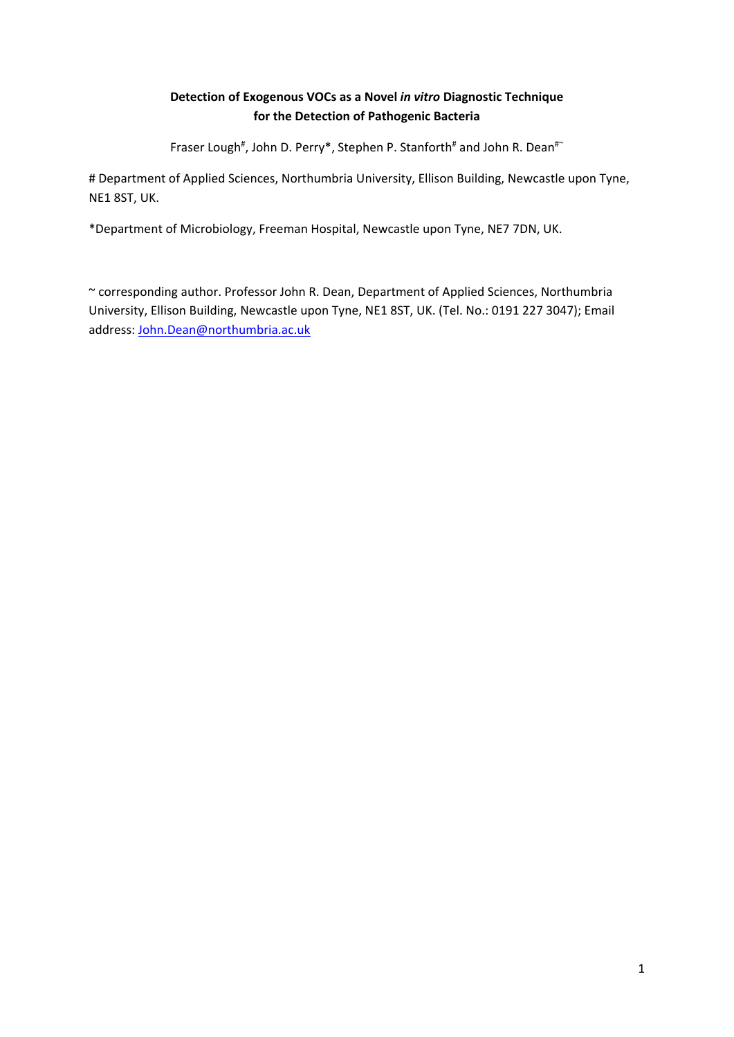### **Detection of Exogenous VOCs as a Novel** *in vitro* **Diagnostic Technique for the Detection of Pathogenic Bacteria**

Fraser Lough<sup>#</sup>, John D. Perry\*, Stephen P. Stanforth<sup>#</sup> and John R. Dean<sup>#</sup>

# Department of Applied Sciences, Northumbria University, Ellison Building, Newcastle upon Tyne, NE1 8ST, UK.

\*Department of Microbiology, Freeman Hospital, Newcastle upon Tyne, NE7 7DN, UK.

~ corresponding author. Professor John R. Dean, Department of Applied Sciences, Northumbria University, Ellison Building, Newcastle upon Tyne, NE1 8ST, UK. (Tel. No.: 0191 227 3047); Email address: John.Dean@northumbria.ac.uk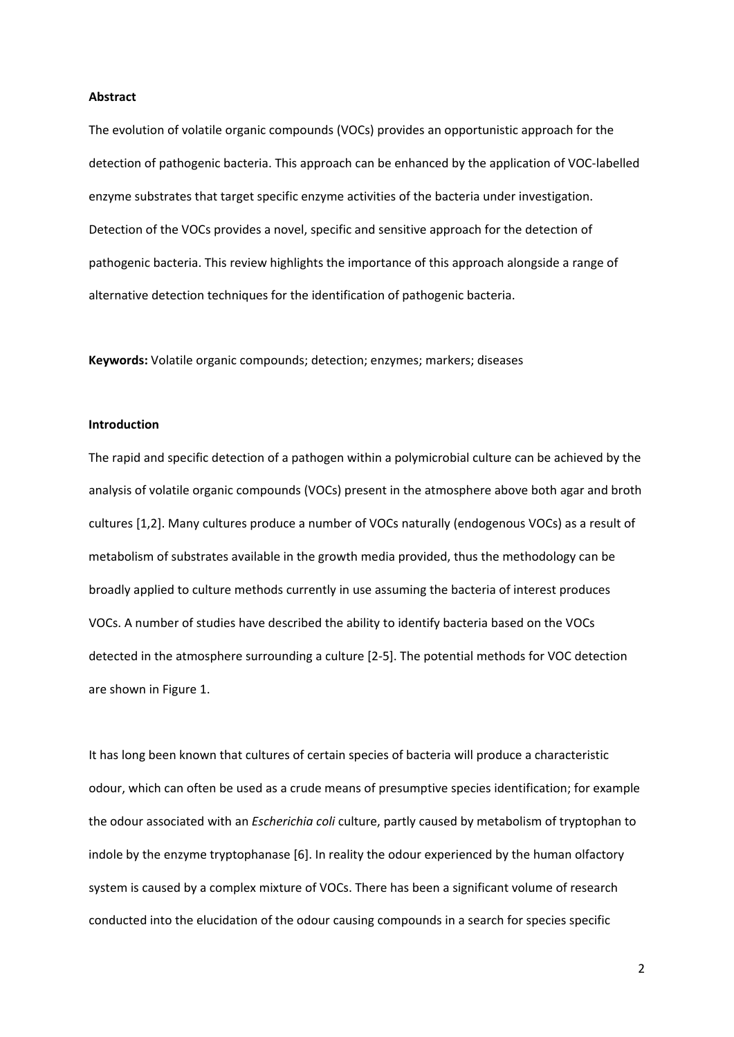#### **Abstract**

The evolution of volatile organic compounds (VOCs) provides an opportunistic approach for the detection of pathogenic bacteria. This approach can be enhanced by the application of VOC‐labelled enzyme substrates that target specific enzyme activities of the bacteria under investigation. Detection of the VOCs provides a novel, specific and sensitive approach for the detection of pathogenic bacteria. This review highlights the importance of this approach alongside a range of alternative detection techniques for the identification of pathogenic bacteria.

**Keywords:** Volatile organic compounds; detection; enzymes; markers; diseases

#### **Introduction**

The rapid and specific detection of a pathogen within a polymicrobial culture can be achieved by the analysis of volatile organic compounds (VOCs) present in the atmosphere above both agar and broth cultures [1,2]. Many cultures produce a number of VOCs naturally (endogenous VOCs) as a result of metabolism of substrates available in the growth media provided, thus the methodology can be broadly applied to culture methods currently in use assuming the bacteria of interest produces VOCs. A number of studies have described the ability to identify bacteria based on the VOCs detected in the atmosphere surrounding a culture [2‐5]. The potential methods for VOC detection are shown in Figure 1.

It has long been known that cultures of certain species of bacteria will produce a characteristic odour, which can often be used as a crude means of presumptive species identification; for example the odour associated with an *Escherichia coli* culture, partly caused by metabolism of tryptophan to indole by the enzyme tryptophanase [6]. In reality the odour experienced by the human olfactory system is caused by a complex mixture of VOCs. There has been a significant volume of research conducted into the elucidation of the odour causing compounds in a search for species specific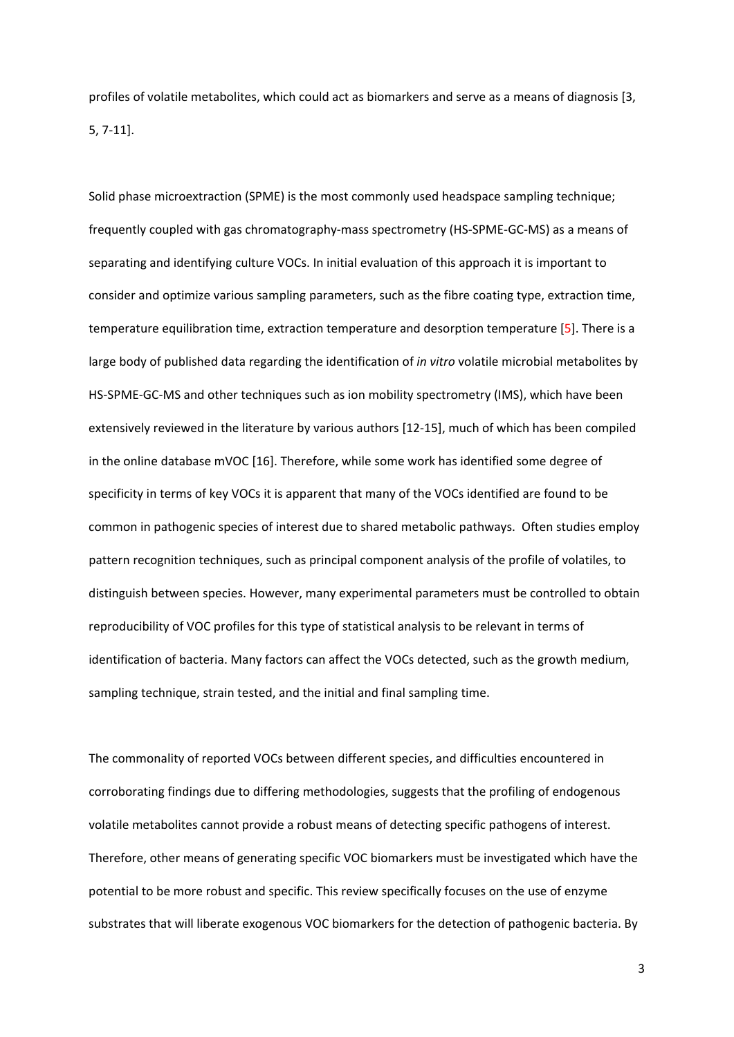profiles of volatile metabolites, which could act as biomarkers and serve as a means of diagnosis [3, 5, 7‐11].

Solid phase microextraction (SPME) is the most commonly used headspace sampling technique; frequently coupled with gas chromatography‐mass spectrometry (HS‐SPME‐GC‐MS) as a means of separating and identifying culture VOCs. In initial evaluation of this approach it is important to consider and optimize various sampling parameters, such as the fibre coating type, extraction time, temperature equilibration time, extraction temperature and desorption temperature [5]. There is a large body of published data regarding the identification of *in vitro* volatile microbial metabolites by HS-SPME-GC-MS and other techniques such as ion mobility spectrometry (IMS), which have been extensively reviewed in the literature by various authors [12‐15], much of which has been compiled in the online database mVOC [16]. Therefore, while some work has identified some degree of specificity in terms of key VOCs it is apparent that many of the VOCs identified are found to be common in pathogenic species of interest due to shared metabolic pathways. Often studies employ pattern recognition techniques, such as principal component analysis of the profile of volatiles, to distinguish between species. However, many experimental parameters must be controlled to obtain reproducibility of VOC profiles for this type of statistical analysis to be relevant in terms of identification of bacteria. Many factors can affect the VOCs detected, such as the growth medium, sampling technique, strain tested, and the initial and final sampling time.

The commonality of reported VOCs between different species, and difficulties encountered in corroborating findings due to differing methodologies, suggests that the profiling of endogenous volatile metabolites cannot provide a robust means of detecting specific pathogens of interest. Therefore, other means of generating specific VOC biomarkers must be investigated which have the potential to be more robust and specific. This review specifically focuses on the use of enzyme substrates that will liberate exogenous VOC biomarkers for the detection of pathogenic bacteria. By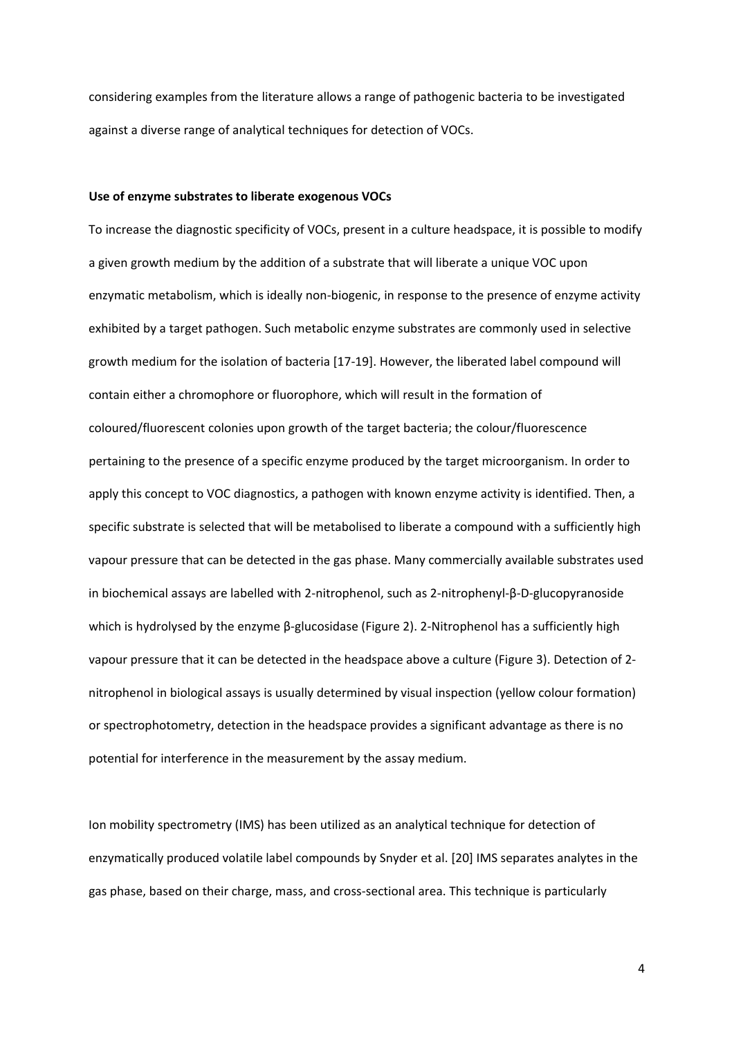considering examples from the literature allows a range of pathogenic bacteria to be investigated against a diverse range of analytical techniques for detection of VOCs.

#### **Use of enzyme substrates to liberate exogenous VOCs**

To increase the diagnostic specificity of VOCs, present in a culture headspace, it is possible to modify a given growth medium by the addition of a substrate that will liberate a unique VOC upon enzymatic metabolism, which is ideally non‐biogenic, in response to the presence of enzyme activity exhibited by a target pathogen. Such metabolic enzyme substrates are commonly used in selective growth medium for the isolation of bacteria [17‐19]. However, the liberated label compound will contain either a chromophore or fluorophore, which will result in the formation of coloured/fluorescent colonies upon growth of the target bacteria; the colour/fluorescence pertaining to the presence of a specific enzyme produced by the target microorganism. In order to apply this concept to VOC diagnostics, a pathogen with known enzyme activity is identified. Then, a specific substrate is selected that will be metabolised to liberate a compound with a sufficiently high vapour pressure that can be detected in the gas phase. Many commercially available substrates used in biochemical assays are labelled with 2‐nitrophenol, such as 2‐nitrophenyl‐β‐D‐glucopyranoside which is hydrolysed by the enzyme β-glucosidase (Figure 2). 2-Nitrophenol has a sufficiently high vapour pressure that it can be detected in the headspace above a culture (Figure 3). Detection of 2‐ nitrophenol in biological assays is usually determined by visual inspection (yellow colour formation) or spectrophotometry, detection in the headspace provides a significant advantage as there is no potential for interference in the measurement by the assay medium.

Ion mobility spectrometry (IMS) has been utilized as an analytical technique for detection of enzymatically produced volatile label compounds by Snyder et al. [20] IMS separates analytes in the gas phase, based on their charge, mass, and cross‐sectional area. This technique is particularly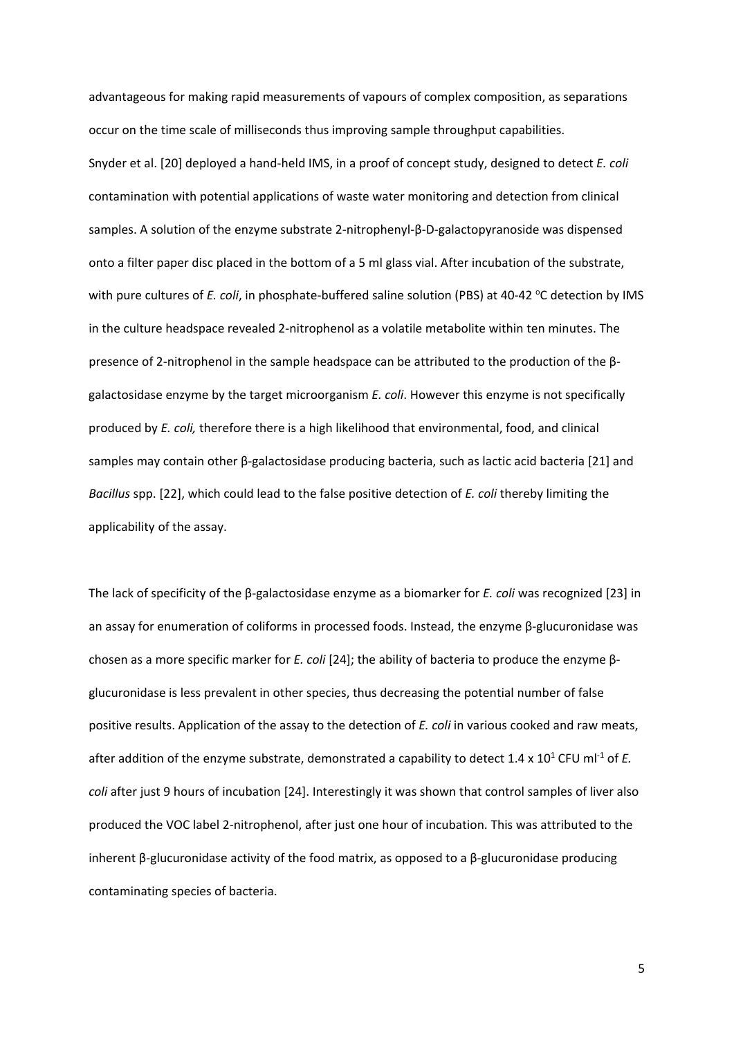advantageous for making rapid measurements of vapours of complex composition, as separations occur on the time scale of milliseconds thus improving sample throughput capabilities. Snyder et al. [20] deployed a hand‐held IMS, in a proof of concept study, designed to detect *E. coli* contamination with potential applications of waste water monitoring and detection from clinical samples. A solution of the enzyme substrate 2‐nitrophenyl‐β‐D‐galactopyranoside was dispensed onto a filter paper disc placed in the bottom of a 5 ml glass vial. After incubation of the substrate, with pure cultures of *E. coli*, in phosphate-buffered saline solution (PBS) at 40-42 °C detection by IMS in the culture headspace revealed 2‐nitrophenol as a volatile metabolite within ten minutes. The presence of 2‐nitrophenol in the sample headspace can be attributed to the production of the β‐ galactosidase enzyme by the target microorganism *E. coli*. However this enzyme is not specifically produced by *E. coli,* therefore there is a high likelihood that environmental, food, and clinical samples may contain other β‐galactosidase producing bacteria, such as lactic acid bacteria [21] and *Bacillus* spp. [22], which could lead to the false positive detection of *E. coli* thereby limiting the applicability of the assay.

The lack of specificity of the β‐galactosidase enzyme as a biomarker for *E. coli* was recognized [23] in an assay for enumeration of coliforms in processed foods. Instead, the enzyme β‐glucuronidase was chosen as a more specific marker for *E. coli* [24]; the ability of bacteria to produce the enzyme β‐ glucuronidase is less prevalent in other species, thus decreasing the potential number of false positive results. Application of the assay to the detection of *E. coli* in various cooked and raw meats, after addition of the enzyme substrate, demonstrated a capability to detect  $1.4 \times 10^1$  CFU ml<sup>-1</sup> of *E*. *coli* after just 9 hours of incubation [24]. Interestingly it was shown that control samples of liver also produced the VOC label 2‐nitrophenol, after just one hour of incubation. This was attributed to the inherent  $\beta$ -glucuronidase activity of the food matrix, as opposed to a  $\beta$ -glucuronidase producing contaminating species of bacteria.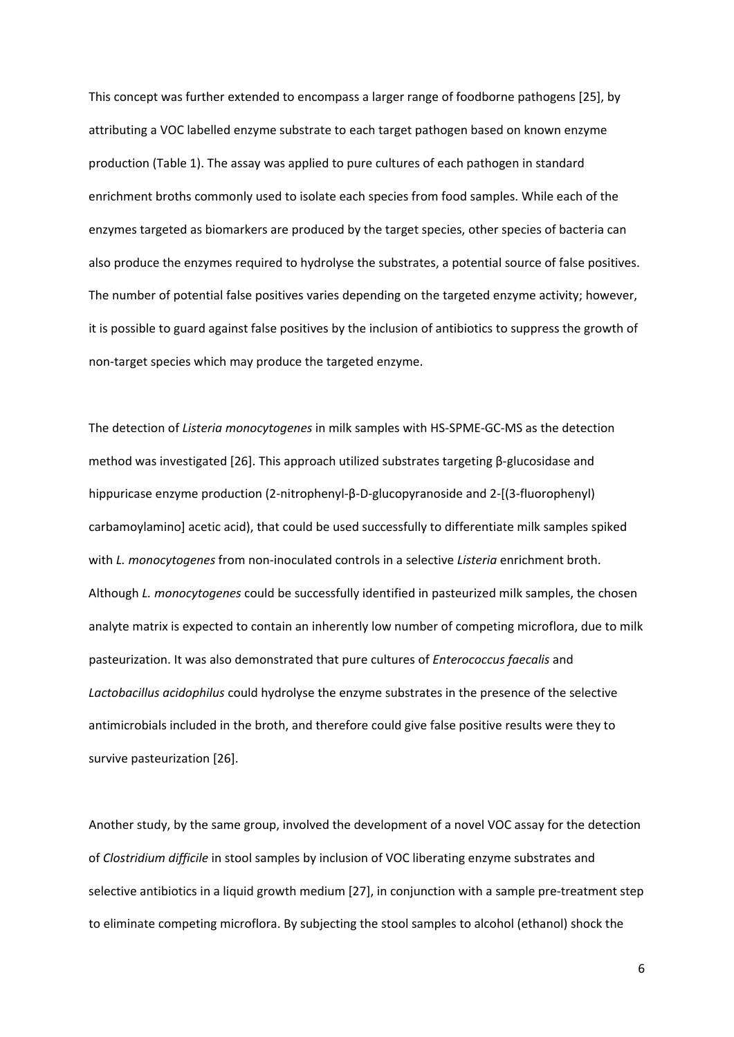This concept was further extended to encompass a larger range of foodborne pathogens [25], by attributing a VOC labelled enzyme substrate to each target pathogen based on known enzyme production (Table 1). The assay was applied to pure cultures of each pathogen in standard enrichment broths commonly used to isolate each species from food samples. While each of the enzymes targeted as biomarkers are produced by the target species, other species of bacteria can also produce the enzymes required to hydrolyse the substrates, a potential source of false positives. The number of potential false positives varies depending on the targeted enzyme activity; however, it is possible to guard against false positives by the inclusion of antibiotics to suppress the growth of non-target species which may produce the targeted enzyme.

The detection of *Listeria monocytogenes* in milk samples with HS‐SPME‐GC‐MS as the detection method was investigated [26]. This approach utilized substrates targeting β‐glucosidase and hippuricase enzyme production (2‐nitrophenyl‐β‐D‐glucopyranoside and 2‐[(3‐fluorophenyl) carbamoylamino] acetic acid), that could be used successfully to differentiate milk samples spiked with *L. monocytogenes* from non‐inoculated controls in a selective *Listeria* enrichment broth. Although *L. monocytogenes* could be successfully identified in pasteurized milk samples, the chosen analyte matrix is expected to contain an inherently low number of competing microflora, due to milk pasteurization. It was also demonstrated that pure cultures of *Enterococcus faecalis* and *Lactobacillus acidophilus* could hydrolyse the enzyme substrates in the presence of the selective antimicrobials included in the broth, and therefore could give false positive results were they to survive pasteurization [26].

Another study, by the same group, involved the development of a novel VOC assay for the detection of *Clostridium difficile* in stool samples by inclusion of VOC liberating enzyme substrates and selective antibiotics in a liquid growth medium [27], in conjunction with a sample pre-treatment step to eliminate competing microflora. By subjecting the stool samples to alcohol (ethanol) shock the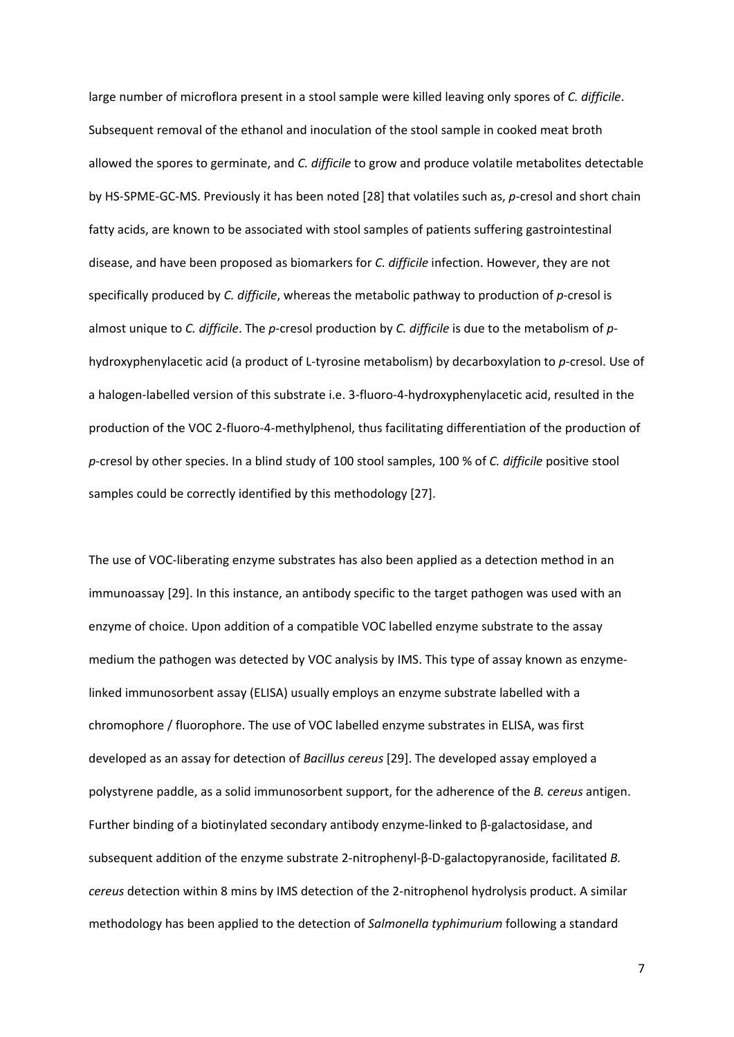large number of microflora present in a stool sample were killed leaving only spores of *C. difficile*. Subsequent removal of the ethanol and inoculation of the stool sample in cooked meat broth allowed the spores to germinate, and *C. difficile* to grow and produce volatile metabolites detectable by HS-SPME-GC-MS. Previously it has been noted [28] that volatiles such as, *p*-cresol and short chain fatty acids, are known to be associated with stool samples of patients suffering gastrointestinal disease, and have been proposed as biomarkers for *C. difficile* infection. However, they are not specifically produced by *C. difficile*, whereas the metabolic pathway to production of *p*-cresol is almost unique to *C. difficile*. The *p*‐cresol production by *C. difficile* is due to the metabolism of *p*‐ hydroxyphenylacetic acid (a product of L‐tyrosine metabolism) by decarboxylation to *p*‐cresol. Use of a halogen‐labelled version of this substrate i.e. 3‐fluoro‐4‐hydroxyphenylacetic acid, resulted in the production of the VOC 2‐fluoro‐4‐methylphenol, thus facilitating differentiation of the production of *p*‐cresol by other species. In a blind study of 100 stool samples, 100 % of *C. difficile* positive stool samples could be correctly identified by this methodology [27].

The use of VOC‐liberating enzyme substrates has also been applied as a detection method in an immunoassay [29]. In this instance, an antibody specific to the target pathogen was used with an enzyme of choice. Upon addition of a compatible VOC labelled enzyme substrate to the assay medium the pathogen was detected by VOC analysis by IMS. This type of assay known as enzyme‐ linked immunosorbent assay (ELISA) usually employs an enzyme substrate labelled with a chromophore / fluorophore. The use of VOC labelled enzyme substrates in ELISA, was first developed as an assay for detection of *Bacillus cereus* [29]. The developed assay employed a polystyrene paddle, as a solid immunosorbent support, for the adherence of the *B. cereus* antigen. Further binding of a biotinylated secondary antibody enzyme‐linked to β‐galactosidase, and subsequent addition of the enzyme substrate 2‐nitrophenyl‐β‐D‐galactopyranoside, facilitated *B. cereus* detection within 8 mins by IMS detection of the 2‐nitrophenol hydrolysis product. A similar methodology has been applied to the detection of *Salmonella typhimurium* following a standard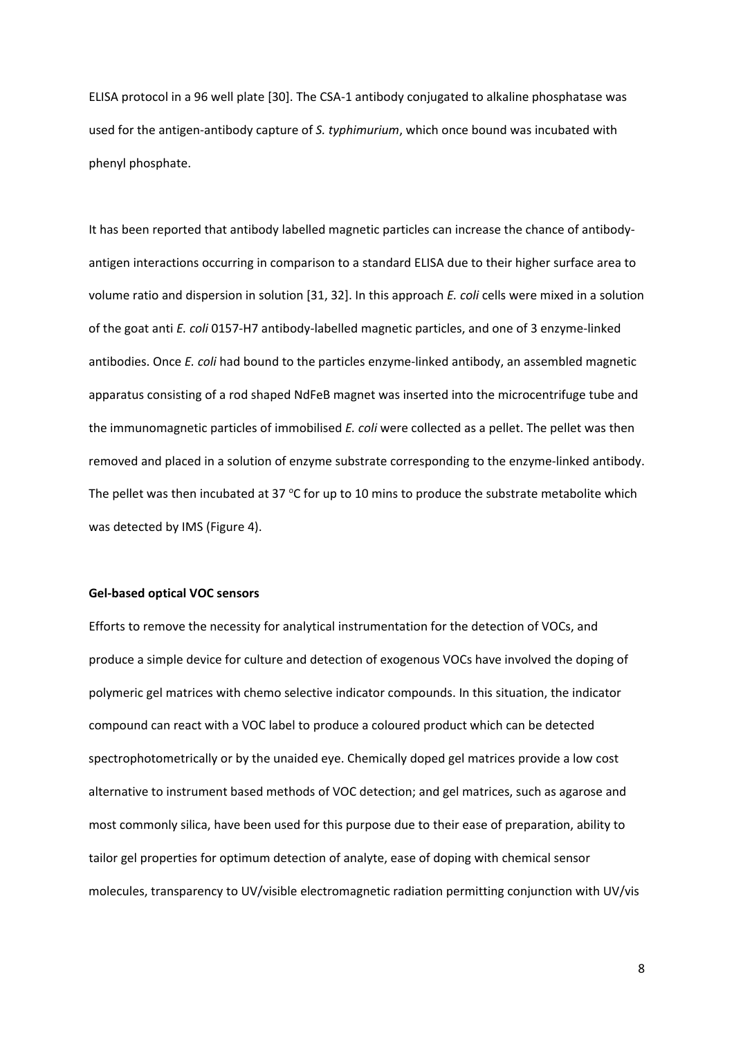ELISA protocol in a 96 well plate [30]. The CSA‐1 antibody conjugated to alkaline phosphatase was used for the antigen‐antibody capture of *S. typhimurium*, which once bound was incubated with phenyl phosphate.

It has been reported that antibody labelled magnetic particles can increase the chance of antibody‐ antigen interactions occurring in comparison to a standard ELISA due to their higher surface area to volume ratio and dispersion in solution [31, 32]. In this approach *E. coli* cells were mixed in a solution of the goat anti *E. coli* 0157‐H7 antibody‐labelled magnetic particles, and one of 3 enzyme‐linked antibodies. Once *E. coli* had bound to the particles enzyme‐linked antibody, an assembled magnetic apparatus consisting of a rod shaped NdFeB magnet was inserted into the microcentrifuge tube and the immunomagnetic particles of immobilised *E. coli* were collected as a pellet. The pellet was then removed and placed in a solution of enzyme substrate corresponding to the enzyme‐linked antibody. The pellet was then incubated at 37  $\degree$ C for up to 10 mins to produce the substrate metabolite which was detected by IMS (Figure 4).

#### **Gel‐based optical VOC sensors**

Efforts to remove the necessity for analytical instrumentation for the detection of VOCs, and produce a simple device for culture and detection of exogenous VOCs have involved the doping of polymeric gel matrices with chemo selective indicator compounds. In this situation, the indicator compound can react with a VOC label to produce a coloured product which can be detected spectrophotometrically or by the unaided eye. Chemically doped gel matrices provide a low cost alternative to instrument based methods of VOC detection; and gel matrices, such as agarose and most commonly silica, have been used for this purpose due to their ease of preparation, ability to tailor gel properties for optimum detection of analyte, ease of doping with chemical sensor molecules, transparency to UV/visible electromagnetic radiation permitting conjunction with UV/vis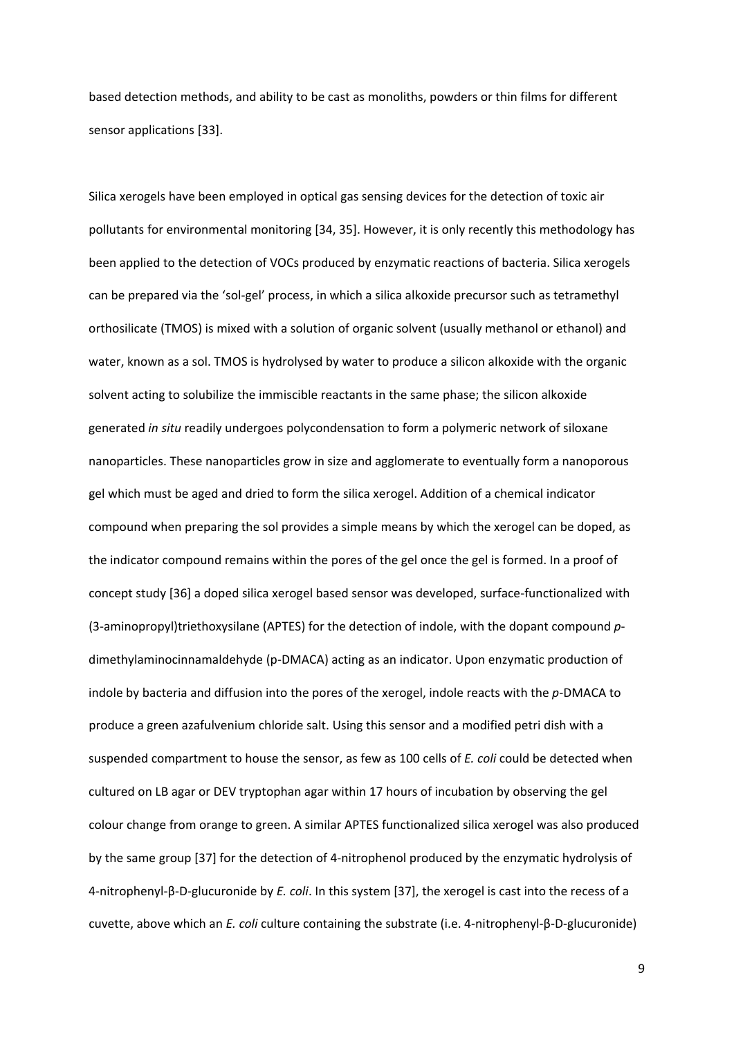based detection methods, and ability to be cast as monoliths, powders or thin films for different sensor applications [33].

Silica xerogels have been employed in optical gas sensing devices for the detection of toxic air pollutants for environmental monitoring [34, 35]. However, it is only recently this methodology has been applied to the detection of VOCs produced by enzymatic reactions of bacteria. Silica xerogels can be prepared via the 'sol-gel' process, in which a silica alkoxide precursor such as tetramethyl orthosilicate (TMOS) is mixed with a solution of organic solvent (usually methanol or ethanol) and water, known as a sol. TMOS is hydrolysed by water to produce a silicon alkoxide with the organic solvent acting to solubilize the immiscible reactants in the same phase; the silicon alkoxide generated *in situ* readily undergoes polycondensation to form a polymeric network of siloxane nanoparticles. These nanoparticles grow in size and agglomerate to eventually form a nanoporous gel which must be aged and dried to form the silica xerogel. Addition of a chemical indicator compound when preparing the sol provides a simple means by which the xerogel can be doped, as the indicator compound remains within the pores of the gel once the gel is formed. In a proof of concept study [36] a doped silica xerogel based sensor was developed, surface-functionalized with (3‐aminopropyl)triethoxysilane (APTES) for the detection of indole, with the dopant compound *p*‐ dimethylaminocinnamaldehyde (p‐DMACA) acting as an indicator. Upon enzymatic production of indole by bacteria and diffusion into the pores of the xerogel, indole reacts with the *p*‐DMACA to produce a green azafulvenium chloride salt. Using this sensor and a modified petri dish with a suspended compartment to house the sensor, as few as 100 cells of *E. coli* could be detected when cultured on LB agar or DEV tryptophan agar within 17 hours of incubation by observing the gel colour change from orange to green. A similar APTES functionalized silica xerogel was also produced by the same group [37] for the detection of 4‐nitrophenol produced by the enzymatic hydrolysis of 4‐nitrophenyl‐β‐D‐glucuronide by *E. coli*. In this system [37], the xerogel is cast into the recess of a cuvette, above which an *E. coli* culture containing the substrate (i.e. 4‐nitrophenyl‐β‐D‐glucuronide)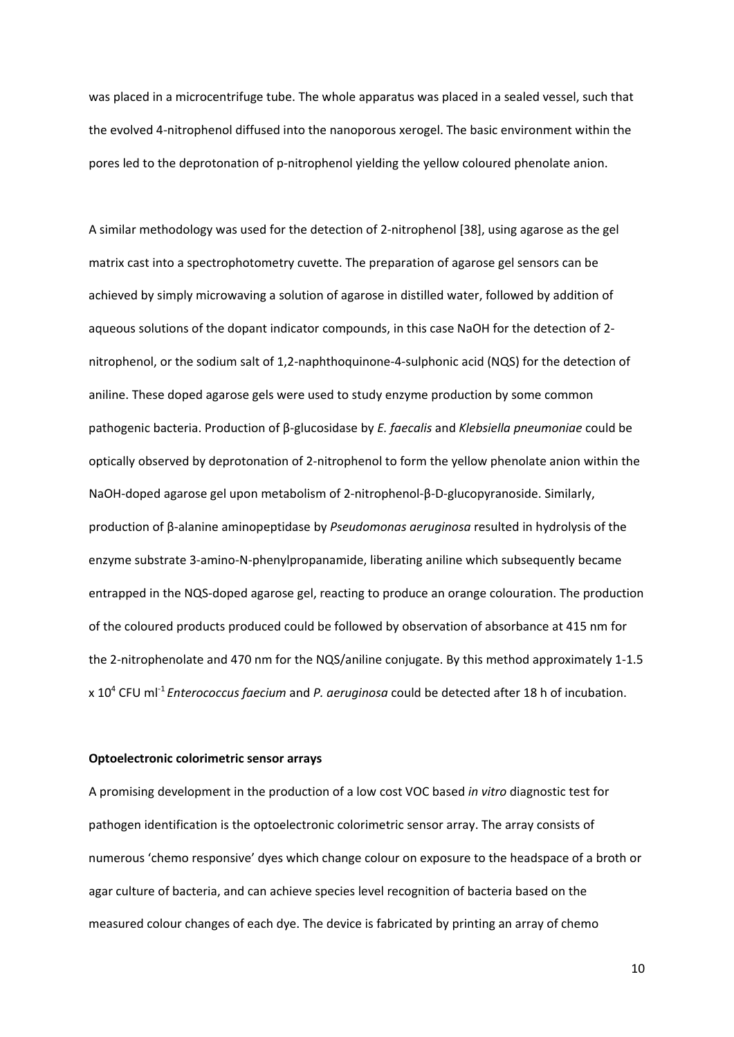was placed in a microcentrifuge tube. The whole apparatus was placed in a sealed vessel, such that the evolved 4‐nitrophenol diffused into the nanoporous xerogel. The basic environment within the pores led to the deprotonation of p-nitrophenol yielding the yellow coloured phenolate anion.

A similar methodology was used for the detection of 2‐nitrophenol [38], using agarose as the gel matrix cast into a spectrophotometry cuvette. The preparation of agarose gel sensors can be achieved by simply microwaving a solution of agarose in distilled water, followed by addition of aqueous solutions of the dopant indicator compounds, in this case NaOH for the detection of 2‐ nitrophenol, or the sodium salt of 1,2‐naphthoquinone‐4‐sulphonic acid (NQS) for the detection of aniline. These doped agarose gels were used to study enzyme production by some common pathogenic bacteria. Production of β‐glucosidase by *E. faecalis* and *Klebsiella pneumoniae* could be optically observed by deprotonation of 2‐nitrophenol to form the yellow phenolate anion within the NaOH‐doped agarose gel upon metabolism of 2‐nitrophenol‐β‐D‐glucopyranoside. Similarly, production of β‐alanine aminopeptidase by *Pseudomonas aeruginosa* resulted in hydrolysis of the enzyme substrate 3‐amino‐N‐phenylpropanamide, liberating aniline which subsequently became entrapped in the NQS‐doped agarose gel, reacting to produce an orange colouration. The production of the coloured products produced could be followed by observation of absorbance at 415 nm for the 2‐nitrophenolate and 470 nm for the NQS/aniline conjugate. By this method approximately 1‐1.5 x 10<sup>4</sup> CFU ml‐<sup>1</sup> *Enterococcus faecium* and *P. aeruginosa* could be detected after 18 h of incubation.

#### **Optoelectronic colorimetric sensor arrays**

A promising development in the production of a low cost VOC based *in vitro* diagnostic test for pathogen identification is the optoelectronic colorimetric sensor array. The array consists of numerous 'chemo responsive' dyes which change colour on exposure to the headspace of a broth or agar culture of bacteria, and can achieve species level recognition of bacteria based on the measured colour changes of each dye. The device is fabricated by printing an array of chemo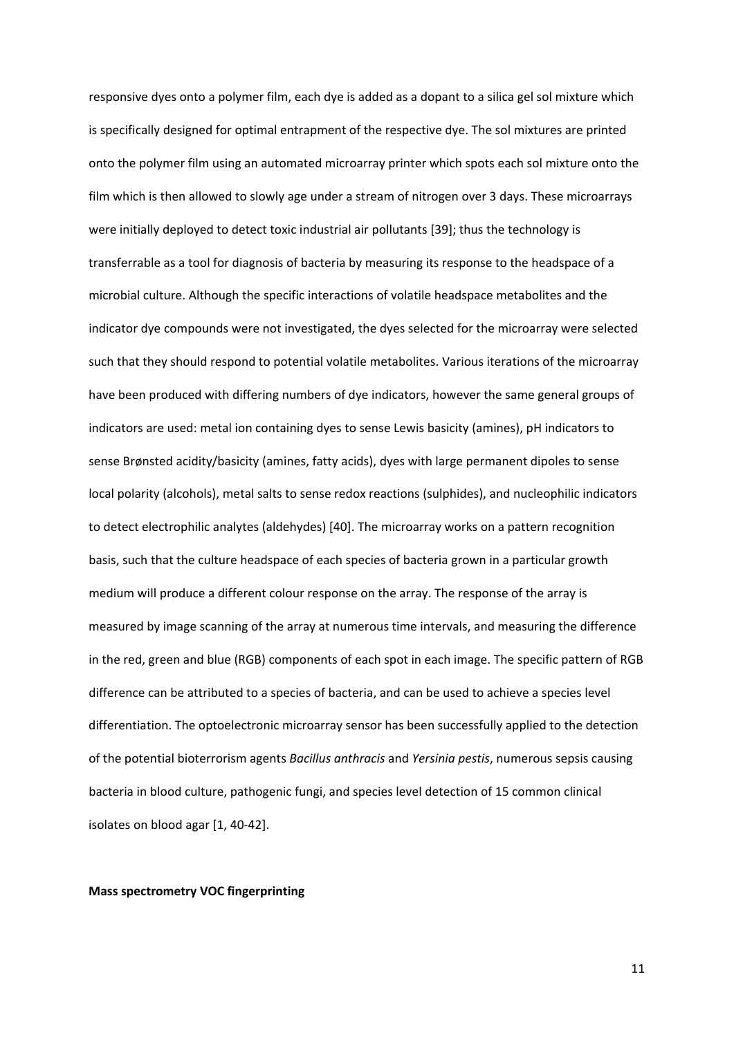responsive dyes onto a polymer film, each dye is added as a dopant to a silica gel sol mixture which is specifically designed for optimal entrapment of the respective dye. The sol mixtures are printed onto the polymer film using an automated microarray printer which spots each sol mixture onto the film which is then allowed to slowly age under a stream of nitrogen over 3 days. These microarrays were initially deployed to detect toxic industrial air pollutants [39]; thus the technology is transferrable as a tool for diagnosis of bacteria by measuring its response to the headspace of a microbial culture. Although the specific interactions of volatile headspace metabolites and the indicator dye compounds were not investigated, the dyes selected for the microarray were selected such that they should respond to potential volatile metabolites. Various iterations of the microarray have been produced with differing numbers of dye indicators, however the same general groups of indicators are used: metal ion containing dyes to sense Lewis basicity (amines), pH indicators to sense Brønsted acidity/basicity (amines, fatty acids), dyes with large permanent dipoles to sense local polarity (alcohols), metal salts to sense redox reactions (sulphides), and nucleophilic indicators to detect electrophilic analytes (aldehydes) [40]. The microarray works on a pattern recognition basis, such that the culture headspace of each species of bacteria grown in a particular growth medium will produce a different colour response on the array. The response of the array is measured by image scanning of the array at numerous time intervals, and measuring the difference in the red, green and blue (RGB) components of each spot in each image. The specific pattern of RGB difference can be attributed to a species of bacteria, and can be used to achieve a species level differentiation. The optoelectronic microarray sensor has been successfully applied to the detection of the potential bioterrorism agents *Bacillus anthracis* and *Yersinia pestis*, numerous sepsis causing bacteria in blood culture, pathogenic fungi, and species level detection of 15 common clinical isolates on blood agar [1, 40‐42].

#### **Mass spectrometry VOC fingerprinting**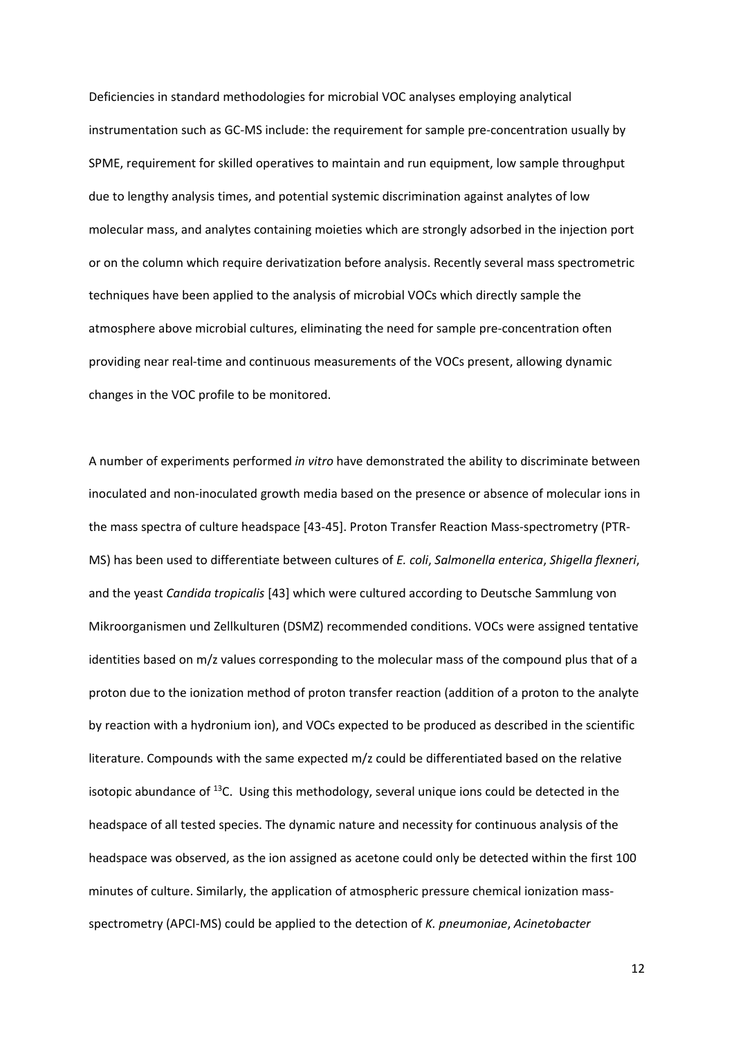Deficiencies in standard methodologies for microbial VOC analyses employing analytical instrumentation such as GC-MS include: the requirement for sample pre-concentration usually by SPME, requirement for skilled operatives to maintain and run equipment, low sample throughput due to lengthy analysis times, and potential systemic discrimination against analytes of low molecular mass, and analytes containing moieties which are strongly adsorbed in the injection port or on the column which require derivatization before analysis. Recently several mass spectrometric techniques have been applied to the analysis of microbial VOCs which directly sample the atmosphere above microbial cultures, eliminating the need for sample pre‐concentration often providing near real‐time and continuous measurements of the VOCs present, allowing dynamic changes in the VOC profile to be monitored.

A number of experiments performed *in vitro* have demonstrated the ability to discriminate between inoculated and non‐inoculated growth media based on the presence or absence of molecular ions in the mass spectra of culture headspace [43-45]. Proton Transfer Reaction Mass-spectrometry (PTR-MS) has been used to differentiate between cultures of *E. coli*, *Salmonella enterica*, *Shigella flexneri*, and the yeast *Candida tropicalis* [43] which were cultured according to Deutsche Sammlung von Mikroorganismen und Zellkulturen (DSMZ) recommended conditions. VOCs were assigned tentative identities based on m/z values corresponding to the molecular mass of the compound plus that of a proton due to the ionization method of proton transfer reaction (addition of a proton to the analyte by reaction with a hydronium ion), and VOCs expected to be produced as described in the scientific literature. Compounds with the same expected m/z could be differentiated based on the relative isotopic abundance of  $^{13}$ C. Using this methodology, several unique ions could be detected in the headspace of all tested species. The dynamic nature and necessity for continuous analysis of the headspace was observed, as the ion assigned as acetone could only be detected within the first 100 minutes of culture. Similarly, the application of atmospheric pressure chemical ionization massspectrometry (APCI‐MS) could be applied to the detection of *K. pneumoniae*, *Acinetobacter*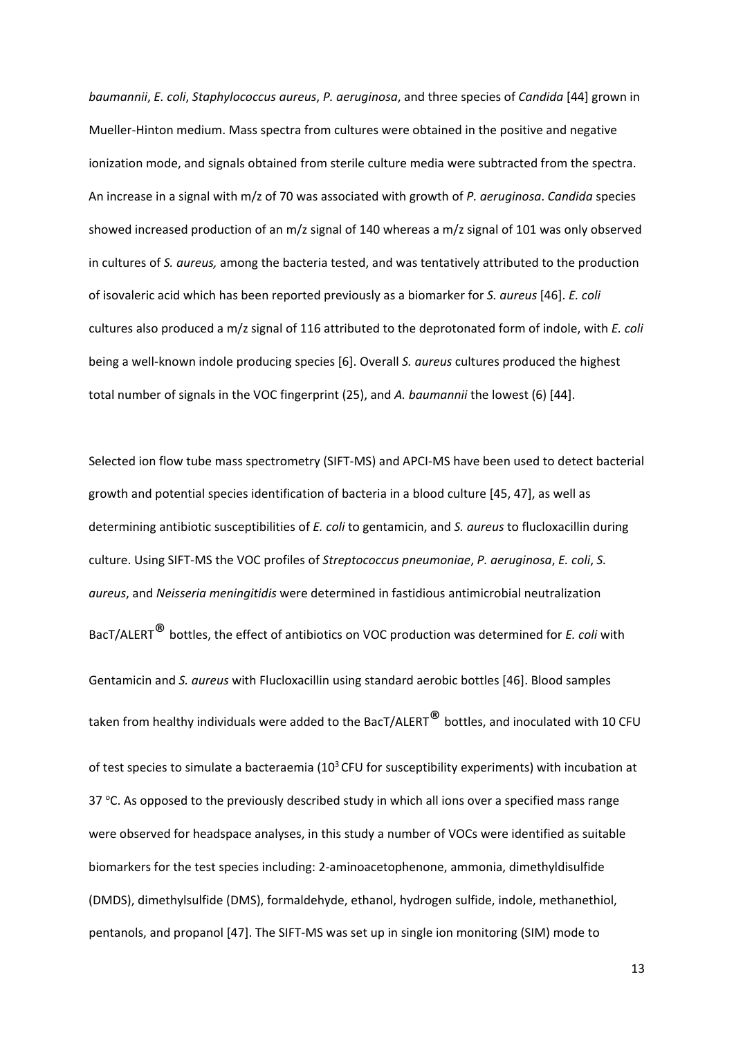*baumannii*, *E. coli*, *Staphylococcus aureus*, *P. aeruginosa*, and three species of *Candida* [44] grown in Mueller‐Hinton medium. Mass spectra from cultures were obtained in the positive and negative ionization mode, and signals obtained from sterile culture media were subtracted from the spectra. An increase in a signal with m/z of 70 was associated with growth of *P. aeruginosa*. *Candida* species showed increased production of an m/z signal of 140 whereas a m/z signal of 101 was only observed in cultures of *S. aureus,* among the bacteria tested, and was tentatively attributed to the production of isovaleric acid which has been reported previously as a biomarker for *S. aureus* [46]. *E. coli* cultures also produced a m/z signal of 116 attributed to the deprotonated form of indole, with *E. coli* being a well‐known indole producing species [6]. Overall *S. aureus* cultures produced the highest total number of signals in the VOC fingerprint (25), and *A. baumannii* the lowest (6) [44].

Selected ion flow tube mass spectrometry (SIFT‐MS) and APCI‐MS have been used to detect bacterial growth and potential species identification of bacteria in a blood culture [45, 47], as well as determining antibiotic susceptibilities of *E. coli* to gentamicin, and *S. aureus* to flucloxacillin during culture. Using SIFT‐MS the VOC profiles of *Streptococcus pneumoniae*, *P. aeruginosa*, *E. coli*, *S. aureus*, and *Neisseria meningitidis* were determined in fastidious antimicrobial neutralization BacT/ALERT® bottles, the effect of antibiotics on VOC production was determined for *E. coli* with Gentamicin and *S. aureus* with Flucloxacillin using standard aerobic bottles [46]. Blood samples taken from healthy individuals were added to the BacT/ALERT<sup>®</sup> bottles, and inoculated with 10 CFU of test species to simulate a bacteraemia ( $10<sup>3</sup>$  CFU for susceptibility experiments) with incubation at 37 °C. As opposed to the previously described study in which all ions over a specified mass range were observed for headspace analyses, in this study a number of VOCs were identified as suitable biomarkers for the test species including: 2‐aminoacetophenone, ammonia, dimethyldisulfide (DMDS), dimethylsulfide (DMS), formaldehyde, ethanol, hydrogen sulfide, indole, methanethiol, pentanols, and propanol [47]. The SIFT‐MS was set up in single ion monitoring (SIM) mode to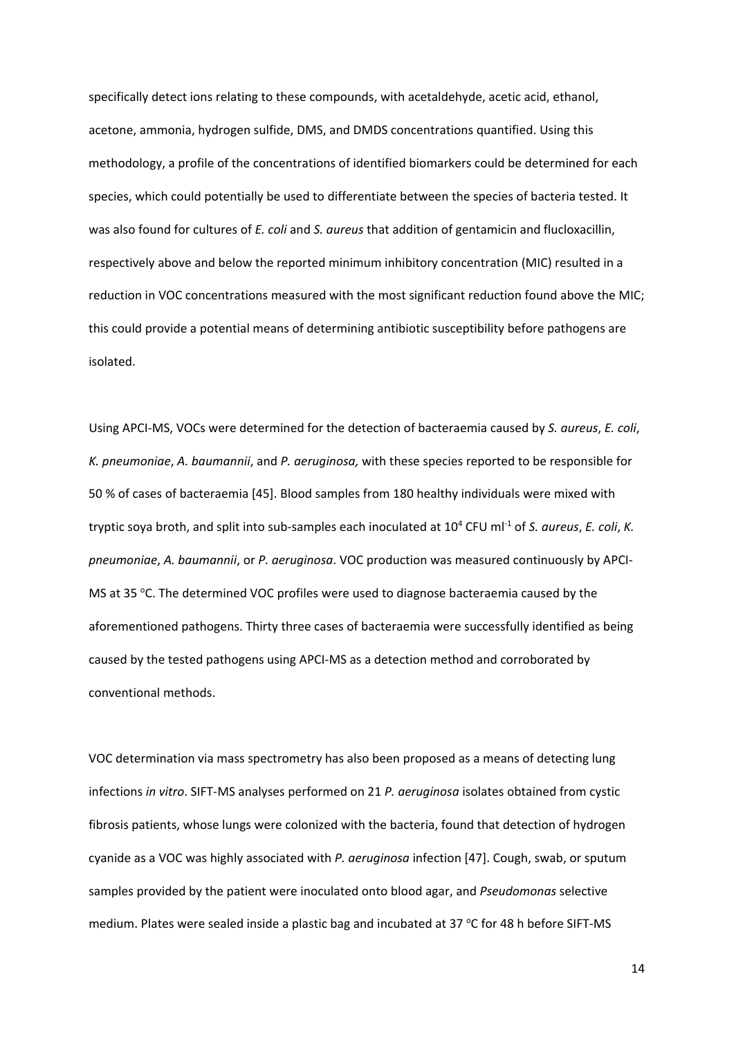specifically detect ions relating to these compounds, with acetaldehyde, acetic acid, ethanol, acetone, ammonia, hydrogen sulfide, DMS, and DMDS concentrations quantified. Using this methodology, a profile of the concentrations of identified biomarkers could be determined for each species, which could potentially be used to differentiate between the species of bacteria tested. It was also found for cultures of *E. coli* and *S. aureus* that addition of gentamicin and flucloxacillin, respectively above and below the reported minimum inhibitory concentration (MIC) resulted in a reduction in VOC concentrations measured with the most significant reduction found above the MIC; this could provide a potential means of determining antibiotic susceptibility before pathogens are isolated.

Using APCI‐MS, VOCs were determined for the detection of bacteraemia caused by *S. aureus*, *E. coli*, *K. pneumoniae*, *A. baumannii*, and *P. aeruginosa,* with these species reported to be responsible for 50 % of cases of bacteraemia [45]. Blood samples from 180 healthy individuals were mixed with tryptic soya broth, and split into sub‐samples each inoculated at 10<sup>4</sup> CFU ml‐<sup>1</sup> of *S. aureus*, *E. coli*, *K. pneumoniae*, *A. baumannii*, or *P. aeruginosa*. VOC production was measured continuously by APCI‐ MS at 35 °C. The determined VOC profiles were used to diagnose bacteraemia caused by the aforementioned pathogens. Thirty three cases of bacteraemia were successfully identified as being caused by the tested pathogens using APCI‐MS as a detection method and corroborated by conventional methods.

VOC determination via mass spectrometry has also been proposed as a means of detecting lung infections *in vitro*. SIFT‐MS analyses performed on 21 *P. aeruginosa* isolates obtained from cystic fibrosis patients, whose lungs were colonized with the bacteria, found that detection of hydrogen cyanide as a VOC was highly associated with *P. aeruginosa* infection [47]. Cough, swab, or sputum samples provided by the patient were inoculated onto blood agar, and *Pseudomonas* selective medium. Plates were sealed inside a plastic bag and incubated at 37  $\degree$ C for 48 h before SIFT-MS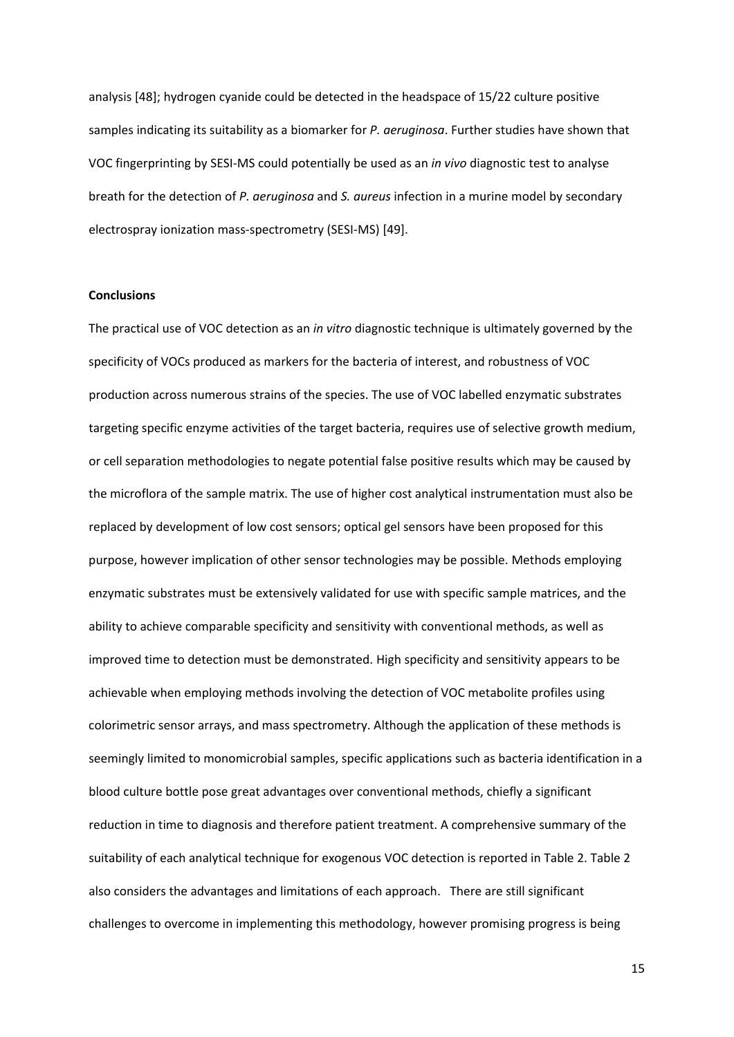analysis [48]; hydrogen cyanide could be detected in the headspace of 15/22 culture positive samples indicating its suitability as a biomarker for *P. aeruginosa*. Further studies have shown that VOC fingerprinting by SESI‐MS could potentially be used as an *in vivo* diagnostic test to analyse breath for the detection of *P. aeruginosa* and *S. aureus* infection in a murine model by secondary electrospray ionization mass‐spectrometry (SESI‐MS) [49].

#### **Conclusions**

The practical use of VOC detection as an *in vitro* diagnostic technique is ultimately governed by the specificity of VOCs produced as markers for the bacteria of interest, and robustness of VOC production across numerous strains of the species. The use of VOC labelled enzymatic substrates targeting specific enzyme activities of the target bacteria, requires use of selective growth medium, or cell separation methodologies to negate potential false positive results which may be caused by the microflora of the sample matrix. The use of higher cost analytical instrumentation must also be replaced by development of low cost sensors; optical gel sensors have been proposed for this purpose, however implication of other sensor technologies may be possible. Methods employing enzymatic substrates must be extensively validated for use with specific sample matrices, and the ability to achieve comparable specificity and sensitivity with conventional methods, as well as improved time to detection must be demonstrated. High specificity and sensitivity appears to be achievable when employing methods involving the detection of VOC metabolite profiles using colorimetric sensor arrays, and mass spectrometry. Although the application of these methods is seemingly limited to monomicrobial samples, specific applications such as bacteria identification in a blood culture bottle pose great advantages over conventional methods, chiefly a significant reduction in time to diagnosis and therefore patient treatment. A comprehensive summary of the suitability of each analytical technique for exogenous VOC detection is reported in Table 2. Table 2 also considers the advantages and limitations of each approach. There are still significant challenges to overcome in implementing this methodology, however promising progress is being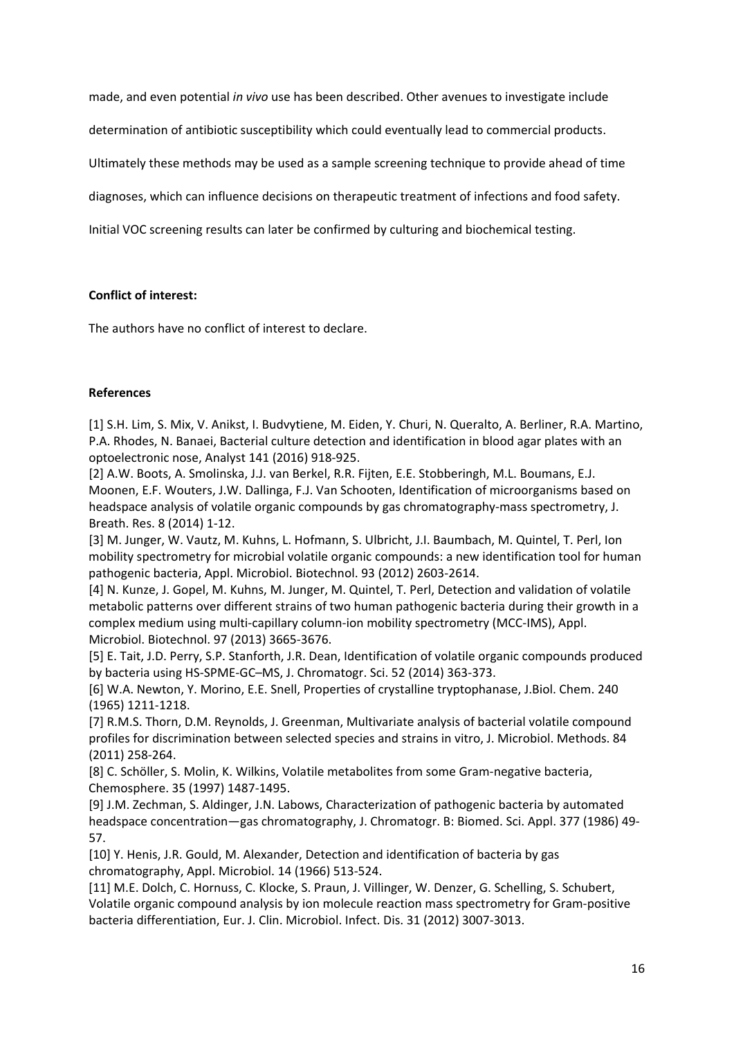made, and even potential *in vivo* use has been described. Other avenues to investigate include

determination of antibiotic susceptibility which could eventually lead to commercial products.

Ultimately these methods may be used as a sample screening technique to provide ahead of time

diagnoses, which can influence decisions on therapeutic treatment of infections and food safety.

Initial VOC screening results can later be confirmed by culturing and biochemical testing.

#### **Conflict of interest:**

The authors have no conflict of interest to declare.

#### **References**

[1] S.H. Lim, S. Mix, V. Anikst, I. Budvytiene, M. Eiden, Y. Churi, N. Queralto, A. Berliner, R.A. Martino, P.A. Rhodes, N. Banaei, Bacterial culture detection and identification in blood agar plates with an optoelectronic nose, Analyst 141 (2016) 918‐925.

[2] A.W. Boots, A. Smolinska, J.J. van Berkel, R.R. Fijten, E.E. Stobberingh, M.L. Boumans, E.J. Moonen, E.F. Wouters, J.W. Dallinga, F.J. Van Schooten, Identification of microorganisms based on headspace analysis of volatile organic compounds by gas chromatography-mass spectrometry, J. Breath. Res. 8 (2014) 1‐12.

[3] M. Junger, W. Vautz, M. Kuhns, L. Hofmann, S. Ulbricht, J.I. Baumbach, M. Quintel, T. Perl, Ion mobility spectrometry for microbial volatile organic compounds: a new identification tool for human pathogenic bacteria, Appl. Microbiol. Biotechnol. 93 (2012) 2603‐2614.

[4] N. Kunze, J. Gopel, M. Kuhns, M. Junger, M. Quintel, T. Perl, Detection and validation of volatile metabolic patterns over different strains of two human pathogenic bacteria during their growth in a complex medium using multi‐capillary column‐ion mobility spectrometry (MCC‐IMS), Appl. Microbiol. Biotechnol. 97 (2013) 3665‐3676.

[5] E. Tait, J.D. Perry, S.P. Stanforth, J.R. Dean, Identification of volatile organic compounds produced by bacteria using HS‐SPME‐GC–MS, J. Chromatogr. Sci. 52 (2014) 363‐373.

[6] W.A. Newton, Y. Morino, E.E. Snell, Properties of crystalline tryptophanase, J.Biol. Chem. 240 (1965) 1211‐1218.

[7] R.M.S. Thorn, D.M. Reynolds, J. Greenman, Multivariate analysis of bacterial volatile compound profiles for discrimination between selected species and strains in vitro, J. Microbiol. Methods. 84 (2011) 258‐264.

[8] C. Schöller, S. Molin, K. Wilkins, Volatile metabolites from some Gram-negative bacteria, Chemosphere. 35 (1997) 1487‐1495.

[9] J.M. Zechman, S. Aldinger, J.N. Labows, Characterization of pathogenic bacteria by automated headspace concentration—gas chromatography, J. Chromatogr. B: Biomed. Sci. Appl. 377 (1986) 49‐ 57.

[10] Y. Henis, J.R. Gould, M. Alexander, Detection and identification of bacteria by gas chromatography, Appl. Microbiol. 14 (1966) 513‐524.

[11] M.E. Dolch, C. Hornuss, C. Klocke, S. Praun, J. Villinger, W. Denzer, G. Schelling, S. Schubert, Volatile organic compound analysis by ion molecule reaction mass spectrometry for Gram‐positive bacteria differentiation, Eur. J. Clin. Microbiol. Infect. Dis. 31 (2012) 3007‐3013.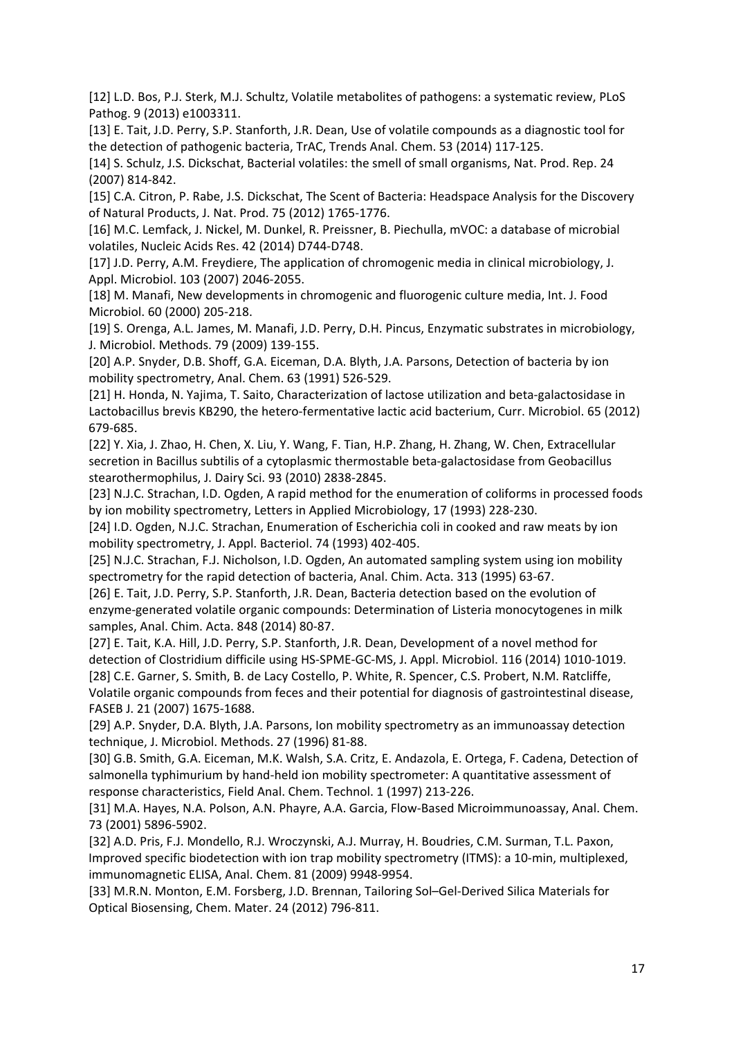[12] L.D. Bos, P.J. Sterk, M.J. Schultz, Volatile metabolites of pathogens: a systematic review, PLoS Pathog. 9 (2013) e1003311.

[13] E. Tait, J.D. Perry, S.P. Stanforth, J.R. Dean, Use of volatile compounds as a diagnostic tool for the detection of pathogenic bacteria, TrAC, Trends Anal. Chem. 53 (2014) 117‐125.

[14] S. Schulz, J.S. Dickschat, Bacterial volatiles: the smell of small organisms, Nat. Prod. Rep. 24 (2007) 814‐842.

[15] C.A. Citron, P. Rabe, J.S. Dickschat, The Scent of Bacteria: Headspace Analysis for the Discovery of Natural Products, J. Nat. Prod. 75 (2012) 1765‐1776.

[16] M.C. Lemfack, J. Nickel, M. Dunkel, R. Preissner, B. Piechulla, mVOC: a database of microbial volatiles, Nucleic Acids Res. 42 (2014) D744‐D748.

[17] J.D. Perry, A.M. Freydiere, The application of chromogenic media in clinical microbiology, J. Appl. Microbiol. 103 (2007) 2046‐2055.

[18] M. Manafi, New developments in chromogenic and fluorogenic culture media, Int. J. Food Microbiol. 60 (2000) 205‐218.

[19] S. Orenga, A.L. James, M. Manafi, J.D. Perry, D.H. Pincus, Enzymatic substrates in microbiology, J. Microbiol. Methods. 79 (2009) 139‐155.

[20] A.P. Snyder, D.B. Shoff, G.A. Eiceman, D.A. Blyth, J.A. Parsons, Detection of bacteria by ion mobility spectrometry, Anal. Chem. 63 (1991) 526‐529.

[21] H. Honda, N. Yajima, T. Saito, Characterization of lactose utilization and beta‐galactosidase in Lactobacillus brevis KB290, the hetero‐fermentative lactic acid bacterium, Curr. Microbiol. 65 (2012) 679‐685.

[22] Y. Xia, J. Zhao, H. Chen, X. Liu, Y. Wang, F. Tian, H.P. Zhang, H. Zhang, W. Chen, Extracellular secretion in Bacillus subtilis of a cytoplasmic thermostable beta‐galactosidase from Geobacillus stearothermophilus, J. Dairy Sci. 93 (2010) 2838‐2845.

[23] N.J.C. Strachan, I.D. Ogden, A rapid method for the enumeration of coliforms in processed foods by ion mobility spectrometry, Letters in Applied Microbiology, 17 (1993) 228‐230.

[24] I.D. Ogden, N.J.C. Strachan, Enumeration of Escherichia coli in cooked and raw meats by ion mobility spectrometry, J. Appl. Bacteriol. 74 (1993) 402‐405.

[25] N.J.C. Strachan, F.J. Nicholson, I.D. Ogden, An automated sampling system using ion mobility spectrometry for the rapid detection of bacteria, Anal. Chim. Acta. 313 (1995) 63‐67.

[26] E. Tait, J.D. Perry, S.P. Stanforth, J.R. Dean, Bacteria detection based on the evolution of enzyme‐generated volatile organic compounds: Determination of Listeria monocytogenes in milk samples, Anal. Chim. Acta. 848 (2014) 80‐87.

[27] E. Tait, K.A. Hill, J.D. Perry, S.P. Stanforth, J.R. Dean, Development of a novel method for detection of Clostridium difficile using HS‐SPME‐GC‐MS, J. Appl. Microbiol. 116 (2014) 1010‐1019. [28] C.E. Garner, S. Smith, B. de Lacy Costello, P. White, R. Spencer, C.S. Probert, N.M. Ratcliffe, Volatile organic compounds from feces and their potential for diagnosis of gastrointestinal disease, FASEB J. 21 (2007) 1675‐1688.

[29] A.P. Snyder, D.A. Blyth, J.A. Parsons, Ion mobility spectrometry as an immunoassay detection technique, J. Microbiol. Methods. 27 (1996) 81‐88.

[30] G.B. Smith, G.A. Eiceman, M.K. Walsh, S.A. Critz, E. Andazola, E. Ortega, F. Cadena, Detection of salmonella typhimurium by hand‐held ion mobility spectrometer: A quantitative assessment of response characteristics, Field Anal. Chem. Technol. 1 (1997) 213‐226.

[31] M.A. Hayes, N.A. Polson, A.N. Phayre, A.A. Garcia, Flow‐Based Microimmunoassay, Anal. Chem. 73 (2001) 5896‐5902.

[32] A.D. Pris, F.J. Mondello, R.J. Wroczynski, A.J. Murray, H. Boudries, C.M. Surman, T.L. Paxon, Improved specific biodetection with ion trap mobility spectrometry (ITMS): a 10‐min, multiplexed, immunomagnetic ELISA, Anal. Chem. 81 (2009) 9948‐9954.

[33] M.R.N. Monton, E.M. Forsberg, J.D. Brennan, Tailoring Sol–Gel‐Derived Silica Materials for Optical Biosensing, Chem. Mater. 24 (2012) 796‐811.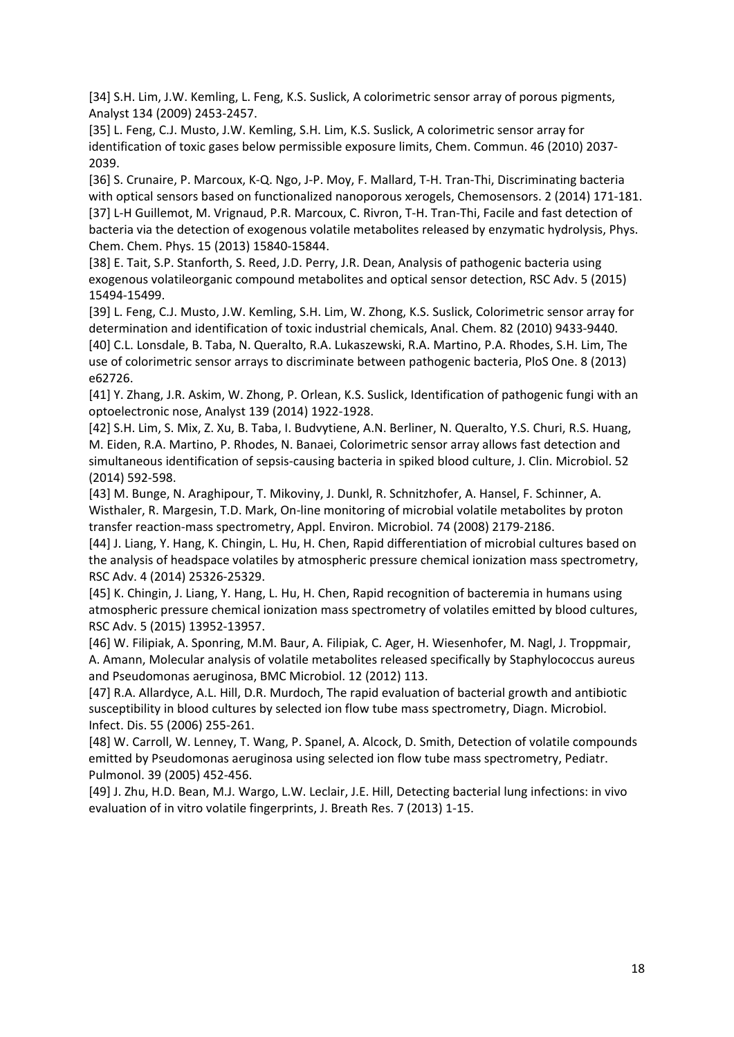[34] S.H. Lim, J.W. Kemling, L. Feng, K.S. Suslick, A colorimetric sensor array of porous pigments, Analyst 134 (2009) 2453‐2457.

[35] L. Feng, C.J. Musto, J.W. Kemling, S.H. Lim, K.S. Suslick, A colorimetric sensor array for identification of toxic gases below permissible exposure limits, Chem. Commun. 46 (2010) 2037‐ 2039.

[36] S. Crunaire, P. Marcoux, K‐Q. Ngo, J‐P. Moy, F. Mallard, T‐H. Tran‐Thi, Discriminating bacteria with optical sensors based on functionalized nanoporous xerogels, Chemosensors. 2 (2014) 171-181. [37] L-H Guillemot, M. Vrignaud, P.R. Marcoux, C. Rivron, T-H. Tran-Thi, Facile and fast detection of bacteria via the detection of exogenous volatile metabolites released by enzymatic hydrolysis, Phys. Chem. Chem. Phys. 15 (2013) 15840‐15844.

[38] E. Tait, S.P. Stanforth, S. Reed, J.D. Perry, J.R. Dean, Analysis of pathogenic bacteria using exogenous volatileorganic compound metabolites and optical sensor detection, RSC Adv. 5 (2015) 15494‐15499.

[39] L. Feng, C.J. Musto, J.W. Kemling, S.H. Lim, W. Zhong, K.S. Suslick, Colorimetric sensor array for determination and identification of toxic industrial chemicals, Anal. Chem. 82 (2010) 9433‐9440. [40] C.L. Lonsdale, B. Taba, N. Queralto, R.A. Lukaszewski, R.A. Martino, P.A. Rhodes, S.H. Lim, The use of colorimetric sensor arrays to discriminate between pathogenic bacteria, PloS One. 8 (2013) e62726.

[41] Y. Zhang, J.R. Askim, W. Zhong, P. Orlean, K.S. Suslick, Identification of pathogenic fungi with an optoelectronic nose, Analyst 139 (2014) 1922‐1928.

[42] S.H. Lim, S. Mix, Z. Xu, B. Taba, I. Budvytiene, A.N. Berliner, N. Queralto, Y.S. Churi, R.S. Huang, M. Eiden, R.A. Martino, P. Rhodes, N. Banaei, Colorimetric sensor array allows fast detection and simultaneous identification of sepsis-causing bacteria in spiked blood culture, J. Clin. Microbiol. 52 (2014) 592‐598.

[43] M. Bunge, N. Araghipour, T. Mikoviny, J. Dunkl, R. Schnitzhofer, A. Hansel, F. Schinner, A. Wisthaler, R. Margesin, T.D. Mark, On-line monitoring of microbial volatile metabolites by proton transfer reaction‐mass spectrometry, Appl. Environ. Microbiol. 74 (2008) 2179‐2186.

[44] J. Liang, Y. Hang, K. Chingin, L. Hu, H. Chen, Rapid differentiation of microbial cultures based on the analysis of headspace volatiles by atmospheric pressure chemical ionization mass spectrometry, RSC Adv. 4 (2014) 25326‐25329.

[45] K. Chingin, J. Liang, Y. Hang, L. Hu, H. Chen, Rapid recognition of bacteremia in humans using atmospheric pressure chemical ionization mass spectrometry of volatiles emitted by blood cultures, RSC Adv. 5 (2015) 13952‐13957.

[46] W. Filipiak, A. Sponring, M.M. Baur, A. Filipiak, C. Ager, H. Wiesenhofer, M. Nagl, J. Troppmair, A. Amann, Molecular analysis of volatile metabolites released specifically by Staphylococcus aureus and Pseudomonas aeruginosa, BMC Microbiol. 12 (2012) 113.

[47] R.A. Allardyce, A.L. Hill, D.R. Murdoch, The rapid evaluation of bacterial growth and antibiotic susceptibility in blood cultures by selected ion flow tube mass spectrometry, Diagn. Microbiol. Infect. Dis. 55 (2006) 255‐261.

[48] W. Carroll, W. Lenney, T. Wang, P. Spanel, A. Alcock, D. Smith, Detection of volatile compounds emitted by Pseudomonas aeruginosa using selected ion flow tube mass spectrometry, Pediatr. Pulmonol. 39 (2005) 452‐456.

[49] J. Zhu, H.D. Bean, M.J. Wargo, L.W. Leclair, J.E. Hill, Detecting bacterial lung infections: in vivo evaluation of in vitro volatile fingerprints, J. Breath Res. 7 (2013) 1‐15.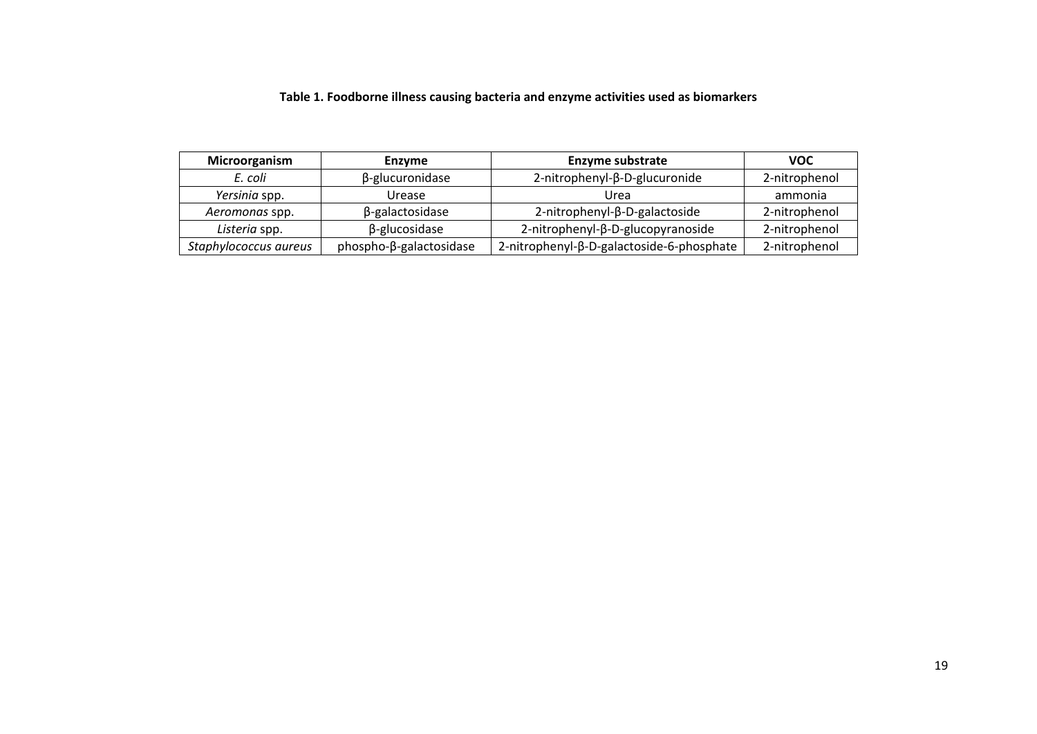# **Table 1. Foodborne illness causing bacteria and enzyme activities used as biomarkers**

| Microorganism<br><b>Enzyme</b> |                         | <b>Enzyme substrate</b>                   | <b>VOC</b>    |
|--------------------------------|-------------------------|-------------------------------------------|---------------|
| E. coli                        | β-glucuronidase         | 2-nitrophenyl-β-D-glucuronide             | 2-nitrophenol |
| Yersinia spp.                  | Urease                  | Urea                                      | ammonia       |
| Aeromonas spp.                 | β-galactosidase         | 2-nitrophenyl-β-D-galactoside             | 2-nitrophenol |
| Listeria spp.                  | $\beta$ -glucosidase    | 2-nitrophenyl-β-D-glucopyranoside         | 2-nitrophenol |
| Staphylococcus aureus          | phospho-β-galactosidase | 2-nitrophenyl-β-D-galactoside-6-phosphate | 2-nitrophenol |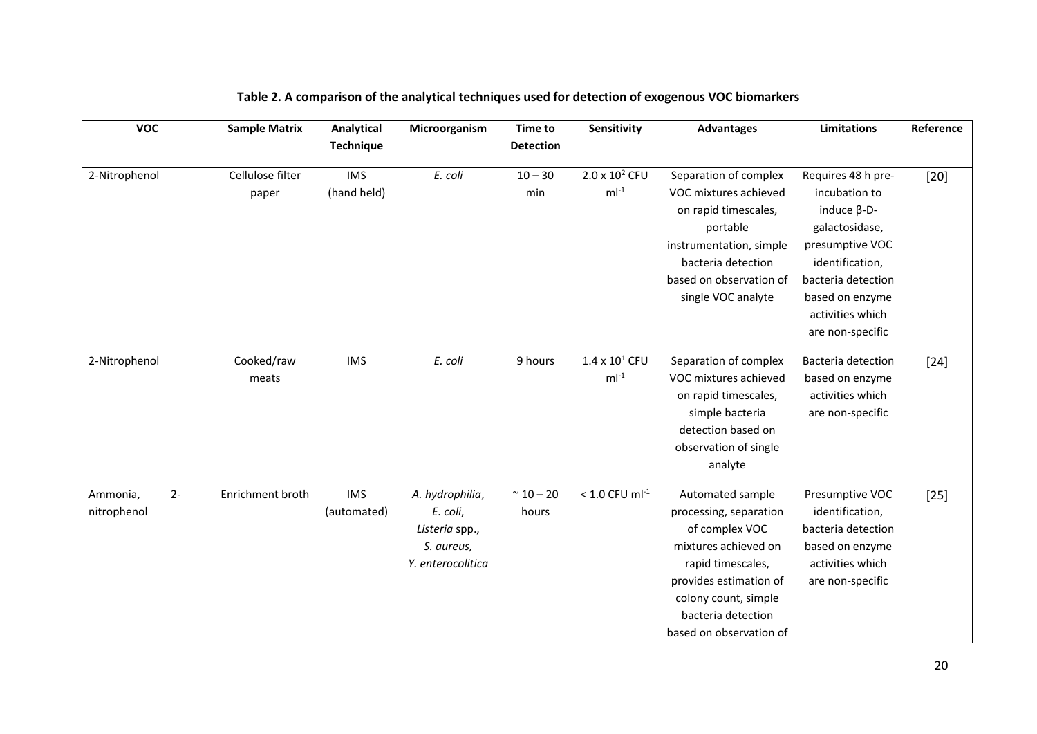| <b>VOC</b>                      | <b>Sample Matrix</b>      | Analytical<br><b>Technique</b> | Microorganism                                                                    | <b>Time to</b><br><b>Detection</b> | Sensitivity                        | <b>Advantages</b>                                                                                                                                                                                            | <b>Limitations</b>                                                                                                                                                                                 | Reference |
|---------------------------------|---------------------------|--------------------------------|----------------------------------------------------------------------------------|------------------------------------|------------------------------------|--------------------------------------------------------------------------------------------------------------------------------------------------------------------------------------------------------------|----------------------------------------------------------------------------------------------------------------------------------------------------------------------------------------------------|-----------|
| 2-Nitrophenol                   | Cellulose filter<br>paper | <b>IMS</b><br>(hand held)      | E. coli                                                                          | $10 - 30$<br>min                   | $2.0 \times 10^2$ CFU<br>$ml^{-1}$ | Separation of complex<br>VOC mixtures achieved<br>on rapid timescales,<br>portable<br>instrumentation, simple<br>bacteria detection<br>based on observation of<br>single VOC analyte                         | Requires 48 h pre-<br>incubation to<br>induce $\beta$ -D-<br>galactosidase,<br>presumptive VOC<br>identification,<br>bacteria detection<br>based on enzyme<br>activities which<br>are non-specific | $[20]$    |
| 2-Nitrophenol                   | Cooked/raw<br>meats       | <b>IMS</b>                     | E. coli                                                                          | 9 hours                            | $1.4 \times 10^1$ CFU<br>$ml-1$    | Separation of complex<br>VOC mixtures achieved<br>on rapid timescales,<br>simple bacteria<br>detection based on<br>observation of single<br>analyte                                                          | <b>Bacteria detection</b><br>based on enzyme<br>activities which<br>are non-specific                                                                                                               | $[24]$    |
| $2-$<br>Ammonia,<br>nitrophenol | Enrichment broth          | <b>IMS</b><br>(automated)      | A. hydrophilia,<br>E. coli,<br>Listeria spp.,<br>S. aureus,<br>Y. enterocolitica | $~^{\sim}$ 10 – 20<br>hours        | $< 1.0$ CFU ml <sup>-1</sup>       | Automated sample<br>processing, separation<br>of complex VOC<br>mixtures achieved on<br>rapid timescales,<br>provides estimation of<br>colony count, simple<br>bacteria detection<br>based on observation of | Presumptive VOC<br>identification,<br>bacteria detection<br>based on enzyme<br>activities which<br>are non-specific                                                                                | $[25]$    |

# **Table 2. A comparison of the analytical techniques used for detection of exogenous VOC biomarkers**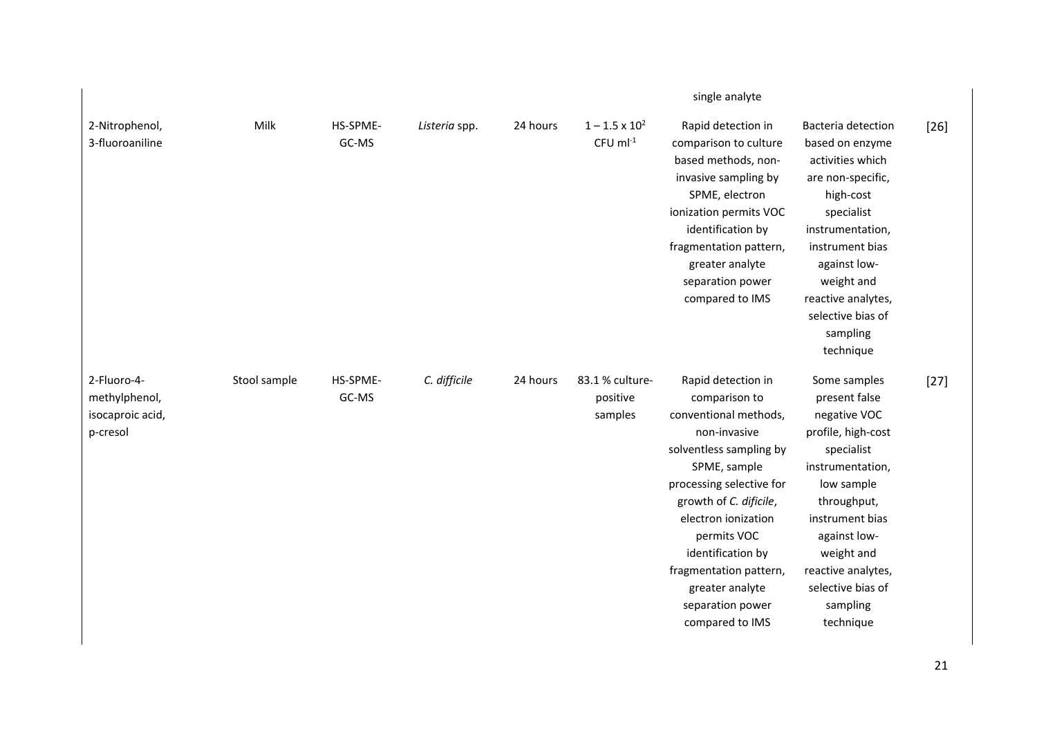|                                                              |              |                   |               |          |                                                 | single analyte                                                                                                                                                                                                                                                                                                               |                                                                                                                                                                                                                                                         |        |
|--------------------------------------------------------------|--------------|-------------------|---------------|----------|-------------------------------------------------|------------------------------------------------------------------------------------------------------------------------------------------------------------------------------------------------------------------------------------------------------------------------------------------------------------------------------|---------------------------------------------------------------------------------------------------------------------------------------------------------------------------------------------------------------------------------------------------------|--------|
| 2-Nitrophenol,<br>3-fluoroaniline                            | Milk         | HS-SPME-<br>GC-MS | Listeria spp. | 24 hours | $1 - 1.5 \times 10^2$<br>$CFU$ ml <sup>-1</sup> | Rapid detection in<br>comparison to culture<br>based methods, non-<br>invasive sampling by<br>SPME, electron<br>ionization permits VOC<br>identification by<br>fragmentation pattern,<br>greater analyte<br>separation power<br>compared to IMS                                                                              | Bacteria detection<br>based on enzyme<br>activities which<br>are non-specific,<br>high-cost<br>specialist<br>instrumentation,<br>instrument bias<br>against low-<br>weight and<br>reactive analytes,<br>selective bias of<br>sampling<br>technique      | $[26]$ |
| 2-Fluoro-4-<br>methylphenol,<br>isocaproic acid,<br>p-cresol | Stool sample | HS-SPME-<br>GC-MS | C. difficile  | 24 hours | 83.1 % culture-<br>positive<br>samples          | Rapid detection in<br>comparison to<br>conventional methods,<br>non-invasive<br>solventless sampling by<br>SPME, sample<br>processing selective for<br>growth of C. dificile,<br>electron ionization<br>permits VOC<br>identification by<br>fragmentation pattern,<br>greater analyte<br>separation power<br>compared to IMS | Some samples<br>present false<br>negative VOC<br>profile, high-cost<br>specialist<br>instrumentation,<br>low sample<br>throughput,<br>instrument bias<br>against low-<br>weight and<br>reactive analytes,<br>selective bias of<br>sampling<br>technique | $[27]$ |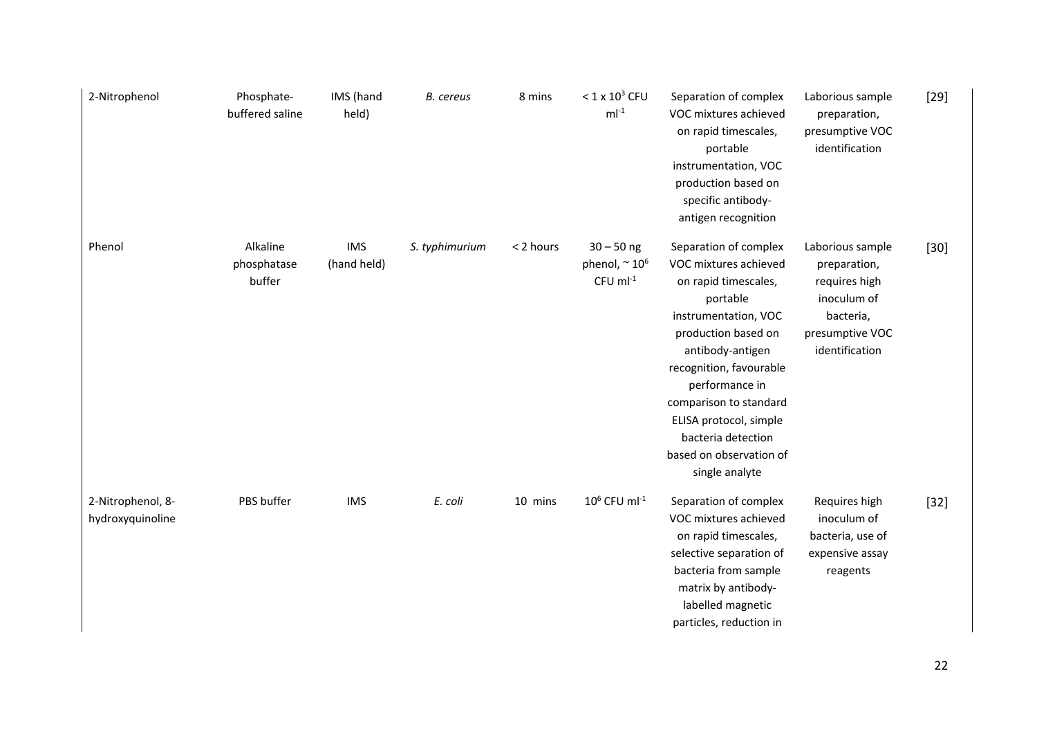| 2-Nitrophenol                         | Phosphate-<br>buffered saline     | IMS (hand<br>held)        | <b>B.</b> cereus | 8 mins    | $< 1 \times 10^3$ CFU<br>$ml^{-1}$                            | Separation of complex<br>VOC mixtures achieved<br>on rapid timescales,<br>portable<br>instrumentation, VOC<br>production based on<br>specific antibody-<br>antigen recognition                                                                                                                                            | Laborious sample<br>preparation,<br>presumptive VOC<br>identification                                              | $[29]$ |
|---------------------------------------|-----------------------------------|---------------------------|------------------|-----------|---------------------------------------------------------------|---------------------------------------------------------------------------------------------------------------------------------------------------------------------------------------------------------------------------------------------------------------------------------------------------------------------------|--------------------------------------------------------------------------------------------------------------------|--------|
| Phenol                                | Alkaline<br>phosphatase<br>buffer | <b>IMS</b><br>(hand held) | S. typhimurium   | < 2 hours | $30 - 50$ ng<br>phenol, $\sim 10^6$<br>$CFU$ ml <sup>-1</sup> | Separation of complex<br>VOC mixtures achieved<br>on rapid timescales,<br>portable<br>instrumentation, VOC<br>production based on<br>antibody-antigen<br>recognition, favourable<br>performance in<br>comparison to standard<br>ELISA protocol, simple<br>bacteria detection<br>based on observation of<br>single analyte | Laborious sample<br>preparation,<br>requires high<br>inoculum of<br>bacteria,<br>presumptive VOC<br>identification | $[30]$ |
| 2-Nitrophenol, 8-<br>hydroxyquinoline | PBS buffer                        | <b>IMS</b>                | E. coli          | 10 mins   | $10^6$ CFU ml <sup>-1</sup>                                   | Separation of complex<br>VOC mixtures achieved<br>on rapid timescales,<br>selective separation of<br>bacteria from sample<br>matrix by antibody-<br>labelled magnetic<br>particles, reduction in                                                                                                                          | Requires high<br>inoculum of<br>bacteria, use of<br>expensive assay<br>reagents                                    | $[32]$ |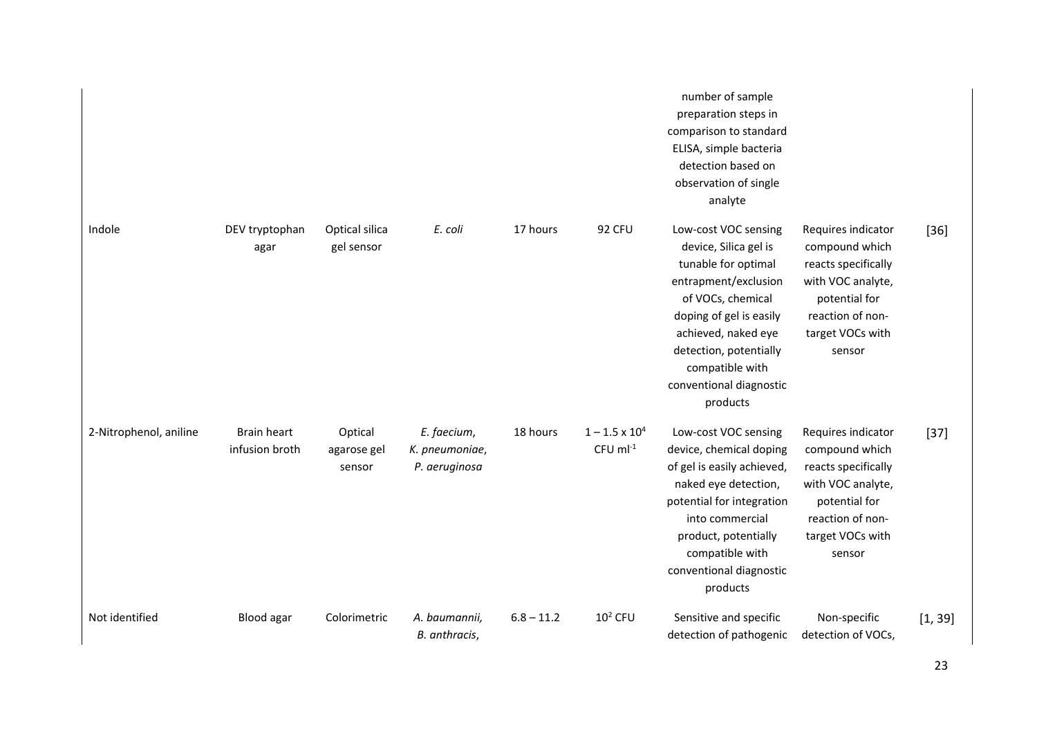|                        |                                      |                                  |                                                |              |                                           | number of sample<br>preparation steps in<br>comparison to standard<br>ELISA, simple bacteria<br>detection based on<br>observation of single<br>analyte                                                                                                  |                                                                                                                                                     |         |
|------------------------|--------------------------------------|----------------------------------|------------------------------------------------|--------------|-------------------------------------------|---------------------------------------------------------------------------------------------------------------------------------------------------------------------------------------------------------------------------------------------------------|-----------------------------------------------------------------------------------------------------------------------------------------------------|---------|
| Indole                 | DEV tryptophan<br>agar               | Optical silica<br>gel sensor     | E. coli                                        | 17 hours     | <b>92 CFU</b>                             | Low-cost VOC sensing<br>device, Silica gel is<br>tunable for optimal<br>entrapment/exclusion<br>of VOCs, chemical<br>doping of gel is easily<br>achieved, naked eye<br>detection, potentially<br>compatible with<br>conventional diagnostic<br>products | Requires indicator<br>compound which<br>reacts specifically<br>with VOC analyte,<br>potential for<br>reaction of non-<br>target VOCs with<br>sensor | $[36]$  |
| 2-Nitrophenol, aniline | <b>Brain heart</b><br>infusion broth | Optical<br>agarose gel<br>sensor | E. faecium,<br>K. pneumoniae,<br>P. aeruginosa | 18 hours     | $1 - 1.5 \times 10^4$<br>$CFU$ m $l^{-1}$ | Low-cost VOC sensing<br>device, chemical doping<br>of gel is easily achieved,<br>naked eye detection,<br>potential for integration<br>into commercial<br>product, potentially<br>compatible with<br>conventional diagnostic<br>products                 | Requires indicator<br>compound which<br>reacts specifically<br>with VOC analyte,<br>potential for<br>reaction of non-<br>target VOCs with<br>sensor | $[37]$  |
| Not identified         | Blood agar                           | Colorimetric                     | A. baumannii,<br>B. anthracis,                 | $6.8 - 11.2$ | $102$ CFU                                 | Sensitive and specific<br>detection of pathogenic                                                                                                                                                                                                       | Non-specific<br>detection of VOCs,                                                                                                                  | [1, 39] |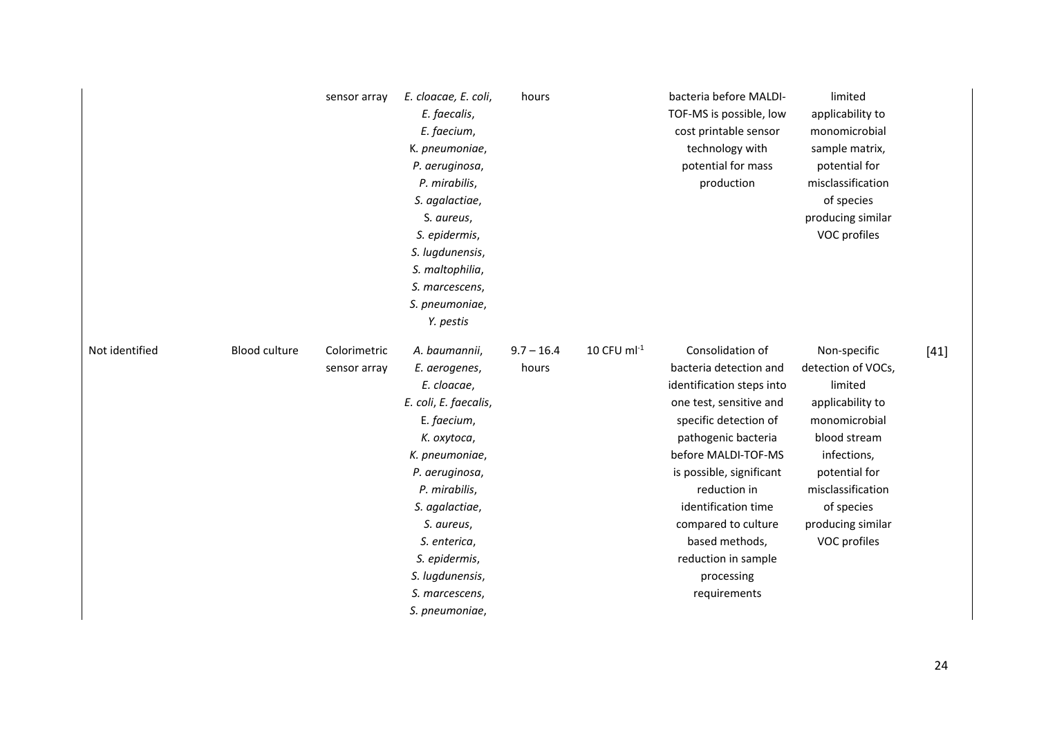|                |                      | sensor array                 | E. cloacae, E. coli,<br>E. faecalis,<br>E. faecium,<br>K. pneumoniae,<br>P. aeruginosa,<br>P. mirabilis,<br>S. agalactiae,<br>S. aureus,<br>S. epidermis,<br>S. lugdunensis,<br>S. maltophilia,<br>S. marcescens,<br>S. pneumoniae,<br>Y. pestis                                  | hours                 |                           | bacteria before MALDI-<br>TOF-MS is possible, low<br>cost printable sensor<br>technology with<br>potential for mass<br>production                                                                                                                                                                                                          | limited<br>applicability to<br>monomicrobial<br>sample matrix,<br>potential for<br>misclassification<br>of species<br>producing similar<br>VOC profiles                                                    |        |
|----------------|----------------------|------------------------------|-----------------------------------------------------------------------------------------------------------------------------------------------------------------------------------------------------------------------------------------------------------------------------------|-----------------------|---------------------------|--------------------------------------------------------------------------------------------------------------------------------------------------------------------------------------------------------------------------------------------------------------------------------------------------------------------------------------------|------------------------------------------------------------------------------------------------------------------------------------------------------------------------------------------------------------|--------|
| Not identified | <b>Blood culture</b> | Colorimetric<br>sensor array | A. baumannii,<br>E. aerogenes,<br>E. cloacae,<br>E. coli, E. faecalis,<br>E. faecium,<br>K. oxytoca,<br>K. pneumoniae,<br>P. aeruginosa,<br>P. mirabilis,<br>S. agalactiae,<br>S. aureus,<br>S. enterica,<br>S. epidermis,<br>S. lugdunensis,<br>S. marcescens,<br>S. pneumoniae, | $9.7 - 16.4$<br>hours | $10$ CFU ml <sup>-1</sup> | Consolidation of<br>bacteria detection and<br>identification steps into<br>one test, sensitive and<br>specific detection of<br>pathogenic bacteria<br>before MALDI-TOF-MS<br>is possible, significant<br>reduction in<br>identification time<br>compared to culture<br>based methods,<br>reduction in sample<br>processing<br>requirements | Non-specific<br>detection of VOCs,<br>limited<br>applicability to<br>monomicrobial<br>blood stream<br>infections,<br>potential for<br>misclassification<br>of species<br>producing similar<br>VOC profiles | $[41]$ |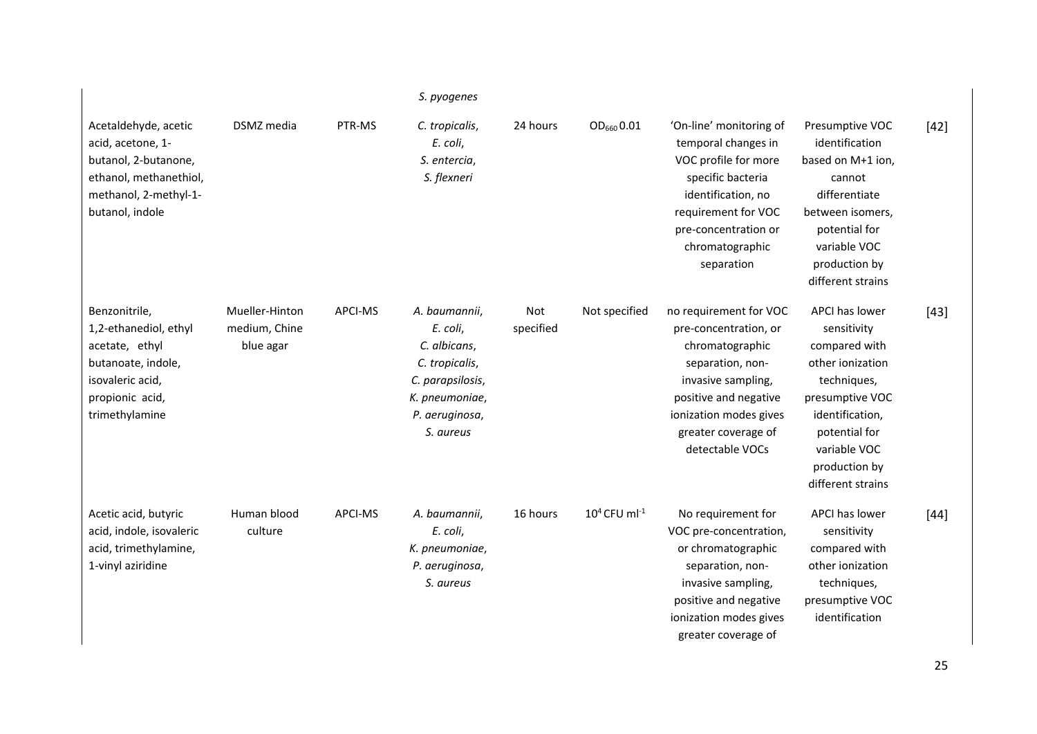|                                                                                                                                         |                                              |         | S. pyogenes                                                                                                                      |                         |                             |                                                                                                                                                                                                           |                                                                                                                                                                                                |        |
|-----------------------------------------------------------------------------------------------------------------------------------------|----------------------------------------------|---------|----------------------------------------------------------------------------------------------------------------------------------|-------------------------|-----------------------------|-----------------------------------------------------------------------------------------------------------------------------------------------------------------------------------------------------------|------------------------------------------------------------------------------------------------------------------------------------------------------------------------------------------------|--------|
| Acetaldehyde, acetic<br>acid, acetone, 1-<br>butanol, 2-butanone,<br>ethanol, methanethiol,<br>methanol, 2-methyl-1-<br>butanol, indole | DSMZ media                                   | PTR-MS  | C. tropicalis,<br>E. coli,<br>S. entercia,<br>S. flexneri                                                                        | 24 hours                | $OD_{660}$ 0.01             | 'On-line' monitoring of<br>temporal changes in<br>VOC profile for more<br>specific bacteria<br>identification, no<br>requirement for VOC<br>pre-concentration or<br>chromatographic<br>separation         | Presumptive VOC<br>identification<br>based on M+1 ion,<br>cannot<br>differentiate<br>between isomers,<br>potential for<br>variable VOC<br>production by<br>different strains                   | $[42]$ |
| Benzonitrile,<br>1,2-ethanediol, ethyl<br>acetate, ethyl<br>butanoate, indole,<br>isovaleric acid,<br>propionic acid,<br>trimethylamine | Mueller-Hinton<br>medium, Chine<br>blue agar | APCI-MS | A. baumannii,<br>E. coli,<br>C. albicans,<br>C. tropicalis,<br>C. parapsilosis,<br>K. pneumoniae,<br>P. aeruginosa,<br>S. aureus | <b>Not</b><br>specified | Not specified               | no requirement for VOC<br>pre-concentration, or<br>chromatographic<br>separation, non-<br>invasive sampling,<br>positive and negative<br>ionization modes gives<br>greater coverage of<br>detectable VOCs | APCI has lower<br>sensitivity<br>compared with<br>other ionization<br>techniques,<br>presumptive VOC<br>identification,<br>potential for<br>variable VOC<br>production by<br>different strains | $[43]$ |
| Acetic acid, butyric<br>acid, indole, isovaleric<br>acid, trimethylamine,<br>1-vinyl aziridine                                          | Human blood<br>culture                       | APCI-MS | A. baumannii,<br>E. coli,<br>K. pneumoniae,<br>P. aeruginosa,<br>S. aureus                                                       | 16 hours                | $10^4$ CFU ml <sup>-1</sup> | No requirement for<br>VOC pre-concentration,<br>or chromatographic<br>separation, non-<br>invasive sampling,<br>positive and negative<br>ionization modes gives<br>greater coverage of                    | APCI has lower<br>sensitivity<br>compared with<br>other ionization<br>techniques,<br>presumptive VOC<br>identification                                                                         | $[44]$ |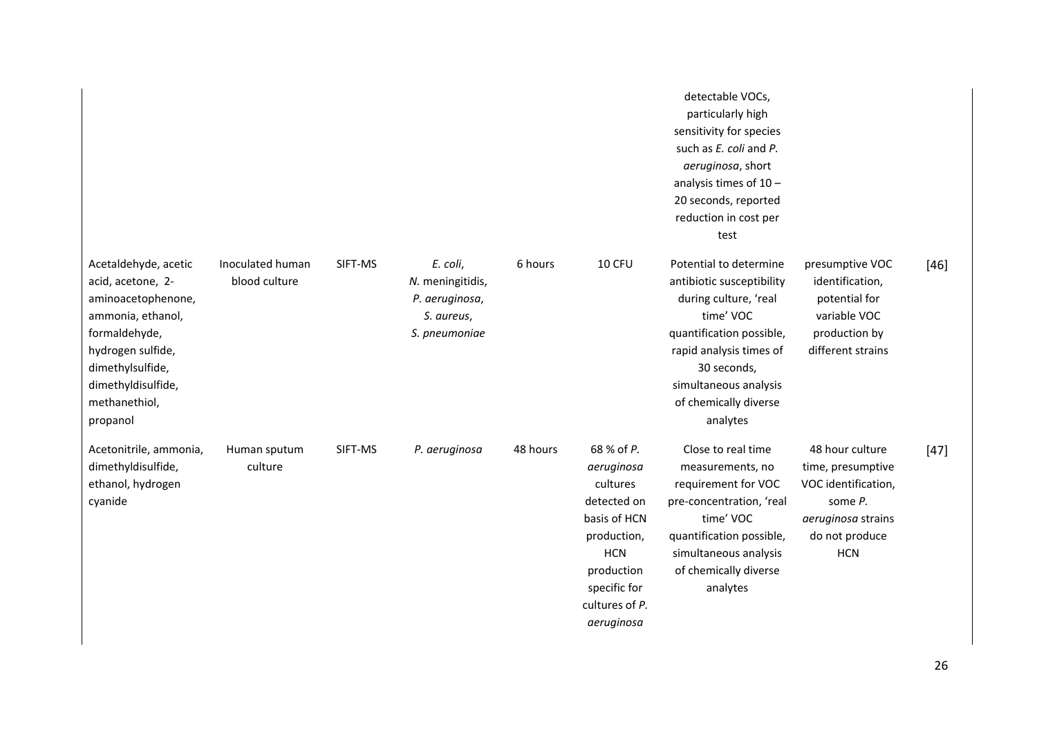|                                                                                                                                                                                                   |                                   |         |                                                                               |          |                                                                                                                                                                | detectable VOCs,<br>particularly high<br>sensitivity for species<br>such as E. coli and P.<br>aeruginosa, short<br>analysis times of $10 -$<br>20 seconds, reported<br>reduction in cost per<br>test                          |                                                                                                                              |        |
|---------------------------------------------------------------------------------------------------------------------------------------------------------------------------------------------------|-----------------------------------|---------|-------------------------------------------------------------------------------|----------|----------------------------------------------------------------------------------------------------------------------------------------------------------------|-------------------------------------------------------------------------------------------------------------------------------------------------------------------------------------------------------------------------------|------------------------------------------------------------------------------------------------------------------------------|--------|
| Acetaldehyde, acetic<br>acid, acetone, 2-<br>aminoacetophenone,<br>ammonia, ethanol,<br>formaldehyde,<br>hydrogen sulfide,<br>dimethylsulfide,<br>dimethyldisulfide,<br>methanethiol,<br>propanol | Inoculated human<br>blood culture | SIFT-MS | E. coli,<br>N. meningitidis,<br>P. aeruginosa,<br>S. aureus,<br>S. pneumoniae | 6 hours  | 10 CFU                                                                                                                                                         | Potential to determine<br>antibiotic susceptibility<br>during culture, 'real<br>time' VOC<br>quantification possible,<br>rapid analysis times of<br>30 seconds,<br>simultaneous analysis<br>of chemically diverse<br>analytes | presumptive VOC<br>identification,<br>potential for<br>variable VOC<br>production by<br>different strains                    | $[46]$ |
| Acetonitrile, ammonia,<br>dimethyldisulfide,<br>ethanol, hydrogen<br>cyanide                                                                                                                      | Human sputum<br>culture           | SIFT-MS | P. aeruginosa                                                                 | 48 hours | 68 % of P.<br>aeruginosa<br>cultures<br>detected on<br>basis of HCN<br>production,<br><b>HCN</b><br>production<br>specific for<br>cultures of P.<br>aeruginosa | Close to real time<br>measurements, no<br>requirement for VOC<br>pre-concentration, 'real<br>time' VOC<br>quantification possible,<br>simultaneous analysis<br>of chemically diverse<br>analytes                              | 48 hour culture<br>time, presumptive<br>VOC identification,<br>some P.<br>aeruginosa strains<br>do not produce<br><b>HCN</b> | $[47]$ |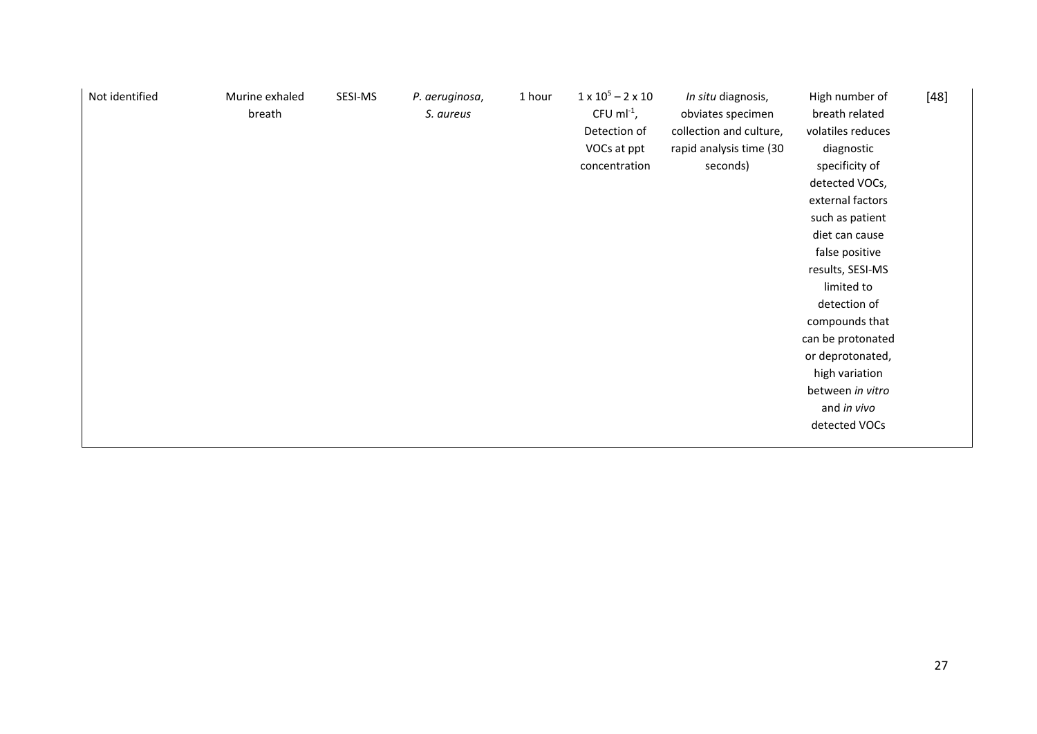| Not identified | Murine exhaled<br>breath | SESI-MS | P. aeruginosa,<br>S. aureus | 1 hour | $1 \times 10^5 - 2 \times 10$<br>CFU m $l^{-1}$ ,<br>Detection of<br>VOCs at ppt<br>concentration | In situ diagnosis,<br>obviates specimen<br>collection and culture,<br>rapid analysis time (30<br>seconds) | High number of<br>breath related<br>volatiles reduces<br>diagnostic<br>specificity of<br>detected VOCs,<br>external factors<br>such as patient<br>diet can cause<br>false positive<br>results, SESI-MS<br>limited to<br>detection of<br>compounds that<br>can be protonated<br>or deprotonated,<br>high variation<br>between in vitro<br>and in vivo<br>detected VOCs | $[48]$ |
|----------------|--------------------------|---------|-----------------------------|--------|---------------------------------------------------------------------------------------------------|-----------------------------------------------------------------------------------------------------------|-----------------------------------------------------------------------------------------------------------------------------------------------------------------------------------------------------------------------------------------------------------------------------------------------------------------------------------------------------------------------|--------|
|----------------|--------------------------|---------|-----------------------------|--------|---------------------------------------------------------------------------------------------------|-----------------------------------------------------------------------------------------------------------|-----------------------------------------------------------------------------------------------------------------------------------------------------------------------------------------------------------------------------------------------------------------------------------------------------------------------------------------------------------------------|--------|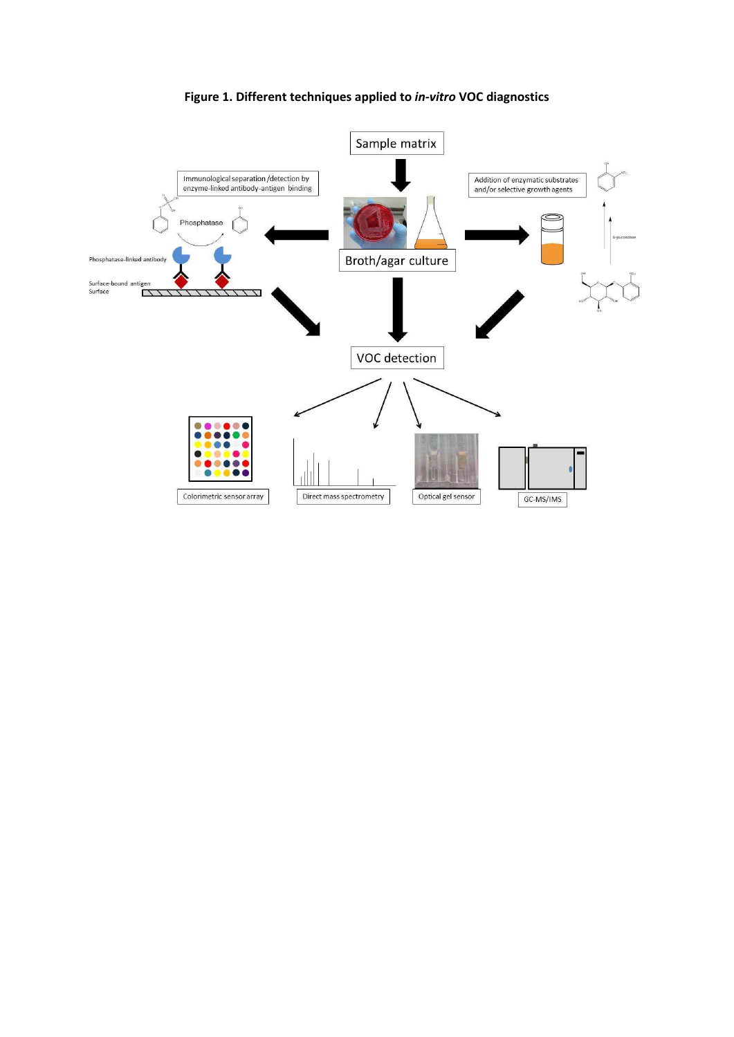

**Figure 1. Different techniques applied to** *in‐vitro* **VOC diagnostics**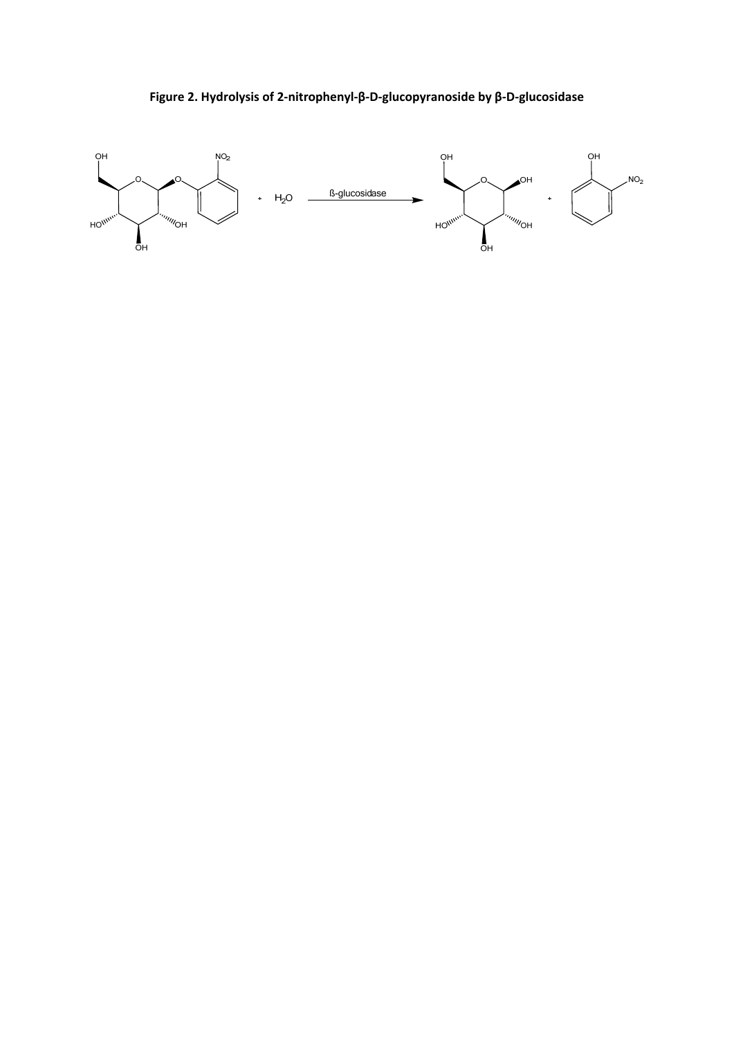

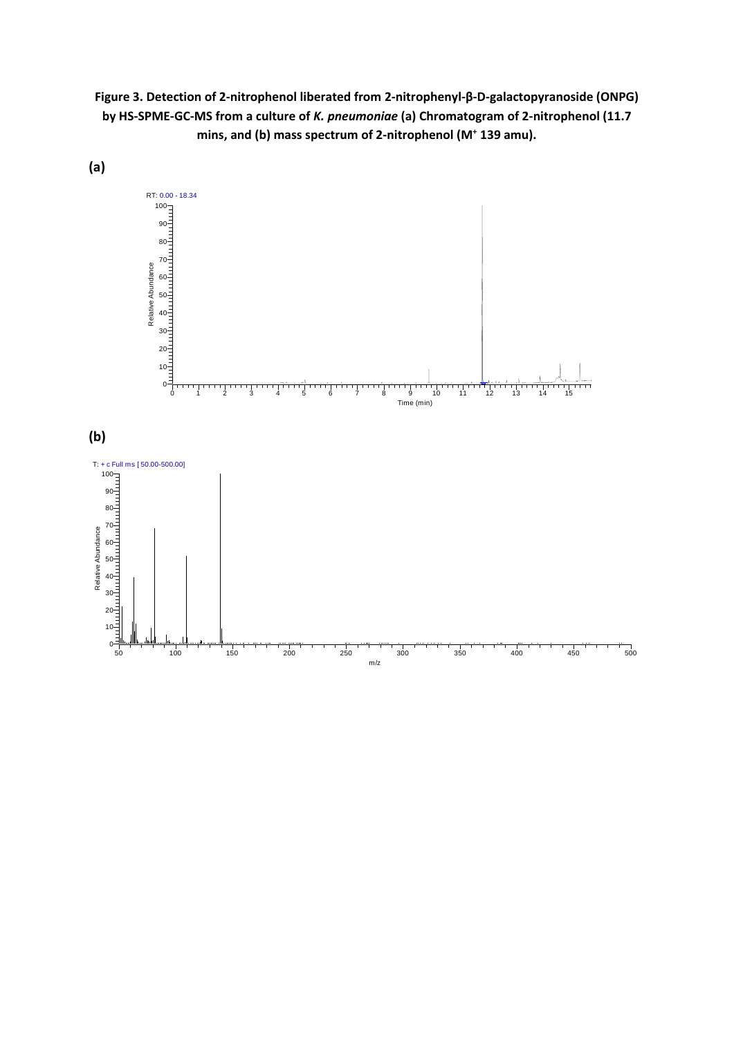**Figure 3. Detection of 2‐nitrophenol liberated from 2‐nitrophenyl‐β‐D‐galactopyranoside (ONPG)** by HS-SPME-GC-MS from a culture of K. pneumoniae (a) Chromatogram of 2-nitrophenol (11.7 **mins, and (b) mass spectrum of 2‐nitrophenol (M<sup>+</sup> 139 amu).**



m/z

**(a)**